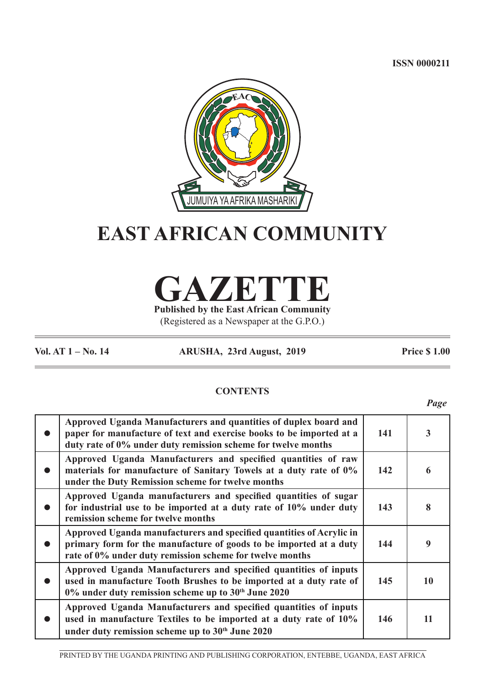**ISSN 0000211**



# **EAST AFRICAN COMMUNITY**

**GAZETTE Published by the East African Community**

(Registered as a Newspaper at the G.P.O.)

**Vol. AT 1 – No. 14 ARUSHA, 23rd August, 2019 Price \$ 1.00**

*Page*

# **CONTENTS**

| Approved Uganda Manufacturers and quantities of duplex board and<br>paper for manufacture of text and exercise books to be imported at a<br>duty rate of 0% under duty remission scheme for twelve months | 141 | $\overline{\mathbf{3}}$ |
|-----------------------------------------------------------------------------------------------------------------------------------------------------------------------------------------------------------|-----|-------------------------|
| Approved Uganda Manufacturers and specified quantities of raw<br>materials for manufacture of Sanitary Towels at a duty rate of 0%<br>under the Duty Remission scheme for twelve months                   | 142 | 6                       |
| Approved Uganda manufacturers and specified quantities of sugar<br>for industrial use to be imported at a duty rate of 10% under duty<br>remission scheme for twelve months                               | 143 | 8                       |
| Approved Uganda manufacturers and specified quantities of Acrylic in<br>primary form for the manufacture of goods to be imported at a duty<br>rate of 0% under duty remission scheme for twelve months    | 144 | 9                       |
| Approved Uganda Manufacturers and specified quantities of inputs<br>used in manufacture Tooth Brushes to be imported at a duty rate of<br>0% under duty remission scheme up to 30th June 2020             | 145 | 10                      |
| Approved Uganda Manufacturers and specified quantities of inputs<br>used in manufacture Textiles to be imported at a duty rate of 10%<br>under duty remission scheme up to 30 <sup>th</sup> June 2020     | 146 | 11                      |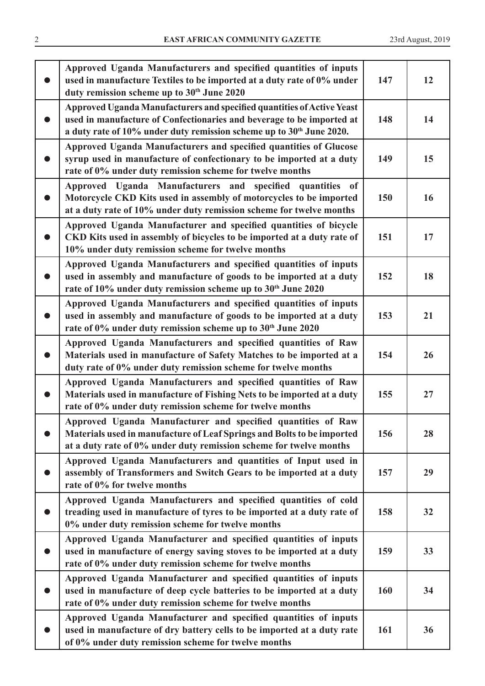|           | Approved Uganda Manufacturers and specified quantities of inputs<br>used in manufacture Textiles to be imported at a duty rate of 0% under<br>duty remission scheme up to 30th June 2020                                            | 147 | 12 |
|-----------|-------------------------------------------------------------------------------------------------------------------------------------------------------------------------------------------------------------------------------------|-----|----|
|           | Approved Uganda Manufacturers and specified quantities of Active Yeast<br>used in manufacture of Confectionaries and beverage to be imported at<br>a duty rate of 10% under duty remission scheme up to 30 <sup>th</sup> June 2020. | 148 | 14 |
|           | Approved Uganda Manufacturers and specified quantities of Glucose<br>syrup used in manufacture of confectionary to be imported at a duty<br>rate of 0% under duty remission scheme for twelve months                                | 149 | 15 |
|           | Approved Uganda Manufacturers and specified quantities of<br>Motorcycle CKD Kits used in assembly of motorcycles to be imported<br>at a duty rate of 10% under duty remission scheme for twelve months                              | 150 | 16 |
|           | Approved Uganda Manufacturer and specified quantities of bicycle<br>CKD Kits used in assembly of bicycles to be imported at a duty rate of<br>10% under duty remission scheme for twelve months                                     | 151 | 17 |
| $\bullet$ | Approved Uganda Manufacturers and specified quantities of inputs<br>used in assembly and manufacture of goods to be imported at a duty<br>rate of 10% under duty remission scheme up to 30th June 2020                              | 152 | 18 |
| $\bullet$ | Approved Uganda Manufacturers and specified quantities of inputs<br>used in assembly and manufacture of goods to be imported at a duty<br>rate of 0% under duty remission scheme up to 30th June 2020                               | 153 | 21 |
| $\bullet$ | Approved Uganda Manufacturers and specified quantities of Raw<br>Materials used in manufacture of Safety Matches to be imported at a<br>duty rate of 0% under duty remission scheme for twelve months                               | 154 | 26 |
|           | Approved Uganda Manufacturers and specified quantities of Raw<br>Materials used in manufacture of Fishing Nets to be imported at a duty<br>rate of 0% under duty remission scheme for twelve months                                 | 155 | 27 |
|           | Approved Uganda Manufacturer and specified quantities of Raw<br>Materials used in manufacture of Leaf Springs and Bolts to be imported<br>at a duty rate of 0% under duty remission scheme for twelve months                        | 156 | 28 |
|           | Approved Uganda Manufacturers and quantities of Input used in<br>assembly of Transformers and Switch Gears to be imported at a duty<br>rate of 0% for twelve months                                                                 | 157 | 29 |
| $\bullet$ | Approved Uganda Manufacturers and specified quantities of cold<br>treading used in manufacture of tyres to be imported at a duty rate of<br>0% under duty remission scheme for twelve months                                        | 158 | 32 |
| $\bullet$ | Approved Uganda Manufacturer and specified quantities of inputs<br>used in manufacture of energy saving stoves to be imported at a duty<br>rate of 0% under duty remission scheme for twelve months                                 | 159 | 33 |
| $\bullet$ | Approved Uganda Manufacturer and specified quantities of inputs<br>used in manufacture of deep cycle batteries to be imported at a duty<br>rate of 0% under duty remission scheme for twelve months                                 | 160 | 34 |
|           | Approved Uganda Manufacturer and specified quantities of inputs<br>used in manufacture of dry battery cells to be imported at a duty rate<br>of 0% under duty remission scheme for twelve months                                    | 161 | 36 |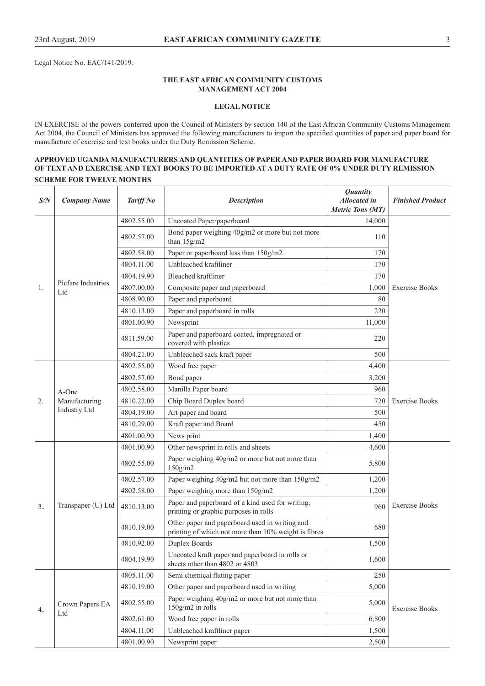Legal Notice No. EAC/141/2019.

#### **THE EAST AFRICAN COMMUNITY CUSTOMS MANAGEMENT ACT 2004**

#### **LEGAL NOTICE**

IN EXERCISE of the powers conferred upon the Council of Ministers by section 140 of the East African Community Customs Management Act 2004, the Council of Ministers has approved the following manufacturers to import the specified quantities of paper and paper board for manufacture of exercise and text books under the Duty Remission Scheme.

## **APPROVED UGANDA MANUFACTURERS AND QUANTITIES OF PAPER AND PAPER BOARD FOR MANUFACTURE OF TEXT AND EXERCISE AND TEXT BOOKS TO BE IMPORTED AT A DUTY RATE OF 0% UNDER DUTY REMISSION SCHEME FOR TWELVE MONTHS**

| S/N | <b>Company Name</b>                              | Tariff No  | <b>Description</b>                                                                                     | <b>Quantity</b><br><b>Allocated</b> in<br><b>Metric Tons (MT)</b> | <b>Finished Product</b> |
|-----|--------------------------------------------------|------------|--------------------------------------------------------------------------------------------------------|-------------------------------------------------------------------|-------------------------|
|     |                                                  | 4802.55.00 | Uncoated Paper/paperboard                                                                              | 14,000                                                            |                         |
|     |                                                  | 4802.57.00 | Bond paper weighing 40g/m2 or more but not more<br>than 15g/m2                                         | 110                                                               |                         |
|     |                                                  | 4802.58.00 | Paper or paperboard less than 150g/m2                                                                  | 170                                                               |                         |
|     |                                                  | 4804.11.00 | Unbleached kraftliner                                                                                  | 170                                                               |                         |
|     |                                                  | 4804.19.90 | <b>Bleached kraftliner</b>                                                                             | 170                                                               |                         |
| 1.  | Picfare Industries<br>L <sub>td</sub>            | 4807.00.00 | Composite paper and paperboard                                                                         | 1,000                                                             | <b>Exercise Books</b>   |
|     |                                                  | 4808.90.00 | Paper and paperboard                                                                                   | 80                                                                |                         |
|     |                                                  | 4810.13.00 | Paper and paperboard in rolls                                                                          | 220                                                               |                         |
|     |                                                  | 4801.00.90 | Newsprint                                                                                              | 11,000                                                            |                         |
|     |                                                  | 4811.59.00 | Paper and paperboard coated, impregnated or<br>covered with plastics                                   | 220                                                               |                         |
|     |                                                  | 4804.21.00 | Unbleached sack kraft paper                                                                            | 500                                                               |                         |
|     |                                                  | 4802.55.00 | Wood free paper                                                                                        | 4,400                                                             |                         |
|     | $A$ -One<br>Manufacturing<br><b>Industry Ltd</b> | 4802.57.00 | Bond paper                                                                                             | 3,200                                                             | <b>Exercise Books</b>   |
|     |                                                  | 4802.58.00 | Manilla Paper board                                                                                    | 960                                                               |                         |
| 2.  |                                                  | 4810.22.00 | Chip Board Duplex board                                                                                | 720                                                               |                         |
|     |                                                  | 4804.19.00 | Art paper and board                                                                                    | 500                                                               |                         |
|     |                                                  | 4810.29.00 | Kraft paper and Board                                                                                  | 450                                                               |                         |
|     |                                                  | 4801.00.90 | News print                                                                                             | 1,400                                                             |                         |
|     |                                                  | 4801.00.90 | Other newsprint in rolls and sheets                                                                    | 4,600                                                             |                         |
|     |                                                  | 4802.55.00 | Paper weighing 40g/m2 or more but not more than<br>150g/m2                                             | 5,800                                                             |                         |
|     |                                                  | 4802.57.00 | Paper weighing 40g/m2 but not more than 150g/m2                                                        | 1,200                                                             |                         |
|     |                                                  | 4802.58.00 | Paper weighing more than 150g/m2                                                                       | 1,200                                                             |                         |
| 3.  | Transpaper (U) Ltd                               | 4810.13.00 | Paper and paperboard of a kind used for writing,<br>printing or graphic purposes in rolls              | 960                                                               | <b>Exercise Books</b>   |
|     |                                                  | 4810.19.00 | Other paper and paperboard used in writing and<br>printing of which not more than 10% weight is fibres | 680                                                               |                         |
|     |                                                  | 4810.92.00 | Duplex Boards                                                                                          | 1,500                                                             |                         |
|     |                                                  | 4804.19.90 | Uncoated kraft paper and paperboard in rolls or<br>sheets other than 4802 or 4803                      | 1,600                                                             |                         |
|     |                                                  | 4805.11.00 | Semi chemical fluting paper                                                                            | 250                                                               |                         |
|     |                                                  | 4810.19.00 | Other paper and paperboard used in writing                                                             | 5,000                                                             |                         |
| 4.  | Crown Papers EA                                  | 4802.55.00 | Paper weighing 40g/m2 or more but not more than<br>150g/m2 in rolls                                    | 5,000                                                             | <b>Exercise Books</b>   |
|     | Ltd                                              | 4802.61.00 | Wood free paper in rolls                                                                               | 6,800                                                             |                         |
|     |                                                  | 4804.11.00 | Unbleached kraftliner paper                                                                            | 1,500                                                             |                         |
|     |                                                  | 4801.00.90 | Newsprint paper                                                                                        | 2,500                                                             |                         |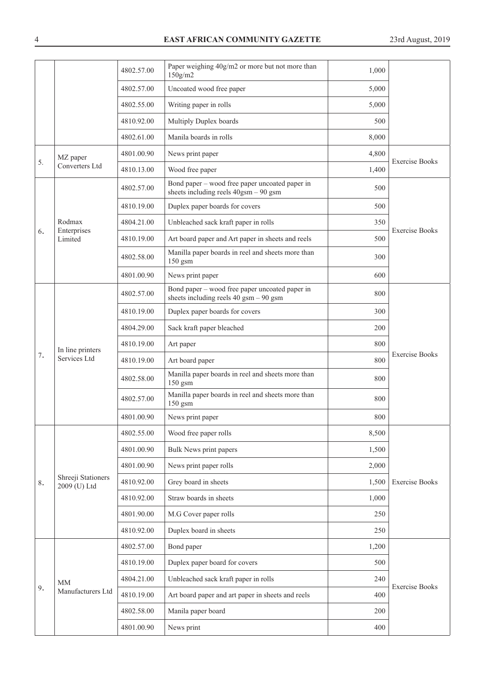# 4 **EAST AFRICAN COMMUNITY GAZETTE** 23rd August, 2019

| Uncoated wood free paper<br>4802.57.00<br>5,000<br>Writing paper in rolls<br>4802.55.00<br>5,000<br>Multiply Duplex boards<br>4810.92.00<br>500<br>Manila boards in rolls<br>8,000<br>4802.61.00<br>News print paper<br>4801.00.90<br>4,800<br>MZ paper<br><b>Exercise Books</b><br>5.<br>Converters Ltd<br>Wood free paper<br>4810.13.00<br>1,400<br>Bond paper – wood free paper uncoated paper in<br>4802.57.00<br>500<br>sheets including reels 40gsm - 90 gsm<br>Duplex paper boards for covers<br>4810.19.00<br>500<br>Rodmax<br>Unbleached sack kraft paper in rolls<br>4804.21.00<br>350<br>Enterprises<br><b>Exercise Books</b><br>6.<br>Art board paper and Art paper in sheets and reels<br>4810.19.00<br>500<br>Limited<br>Manilla paper boards in reel and sheets more than<br>4802.58.00<br>300<br>150 gsm<br>600<br>4801.00.90<br>News print paper<br>Bond paper – wood free paper uncoated paper in<br>800<br>4802.57.00<br>sheets including reels $40$ gsm $-90$ gsm<br>Duplex paper boards for covers<br>4810.19.00<br>300<br>Sack kraft paper bleached<br>4804.29.00<br>200<br>800<br>4810.19.00<br>Art paper<br>In line printers<br><b>Exercise Books</b><br>7.<br>Services Ltd<br>800<br>4810.19.00<br>Art board paper<br>Manilla paper boards in reel and sheets more than<br>4802.58.00<br>800<br>150 gsm<br>Manilla paper boards in reel and sheets more than<br>4802.57.00<br>800<br>150 gsm<br>800<br>4801.00.90<br>News print paper<br>Wood free paper rolls<br>8,500<br>4802.55.00<br>4801.00.90<br>Bulk News print papers<br>1,500<br>4801.00.90<br>News print paper rolls<br>2,000<br>Shreeji Stationers<br>4810.92.00<br>Grey board in sheets<br><b>Exercise Books</b><br>1,500<br>8.<br>2009 (U) Ltd<br>Straw boards in sheets<br>4810.92.00<br>1,000<br>4801.90.00<br>M.G Cover paper rolls<br>250<br>4810.92.00<br>Duplex board in sheets<br>250<br>4802.57.00<br>Bond paper<br>1,200<br>Duplex paper board for covers<br>4810.19.00<br>500<br>4804.21.00<br>Unbleached sack kraft paper in rolls<br>240<br><b>MM</b><br><b>Exercise Books</b><br>9.<br>Manufacturers Ltd<br>4810.19.00<br>Art board paper and art paper in sheets and reels<br>400<br>4802.58.00<br>Manila paper board<br>200<br>News print<br>4801.00.90<br>400 |  |  | 4802.57.00 | Paper weighing 40g/m2 or more but not more than<br>$150$ g/m2 | 1,000 |  |
|---------------------------------------------------------------------------------------------------------------------------------------------------------------------------------------------------------------------------------------------------------------------------------------------------------------------------------------------------------------------------------------------------------------------------------------------------------------------------------------------------------------------------------------------------------------------------------------------------------------------------------------------------------------------------------------------------------------------------------------------------------------------------------------------------------------------------------------------------------------------------------------------------------------------------------------------------------------------------------------------------------------------------------------------------------------------------------------------------------------------------------------------------------------------------------------------------------------------------------------------------------------------------------------------------------------------------------------------------------------------------------------------------------------------------------------------------------------------------------------------------------------------------------------------------------------------------------------------------------------------------------------------------------------------------------------------------------------------------------------------------------------------------------------------------------------------------------------------------------------------------------------------------------------------------------------------------------------------------------------------------------------------------------------------------------------------------------------------------------------------------------------------------------------------------------------------------------------------------------------------------------------------|--|--|------------|---------------------------------------------------------------|-------|--|
|                                                                                                                                                                                                                                                                                                                                                                                                                                                                                                                                                                                                                                                                                                                                                                                                                                                                                                                                                                                                                                                                                                                                                                                                                                                                                                                                                                                                                                                                                                                                                                                                                                                                                                                                                                                                                                                                                                                                                                                                                                                                                                                                                                                                                                                                     |  |  |            |                                                               |       |  |
|                                                                                                                                                                                                                                                                                                                                                                                                                                                                                                                                                                                                                                                                                                                                                                                                                                                                                                                                                                                                                                                                                                                                                                                                                                                                                                                                                                                                                                                                                                                                                                                                                                                                                                                                                                                                                                                                                                                                                                                                                                                                                                                                                                                                                                                                     |  |  |            |                                                               |       |  |
|                                                                                                                                                                                                                                                                                                                                                                                                                                                                                                                                                                                                                                                                                                                                                                                                                                                                                                                                                                                                                                                                                                                                                                                                                                                                                                                                                                                                                                                                                                                                                                                                                                                                                                                                                                                                                                                                                                                                                                                                                                                                                                                                                                                                                                                                     |  |  |            |                                                               |       |  |
|                                                                                                                                                                                                                                                                                                                                                                                                                                                                                                                                                                                                                                                                                                                                                                                                                                                                                                                                                                                                                                                                                                                                                                                                                                                                                                                                                                                                                                                                                                                                                                                                                                                                                                                                                                                                                                                                                                                                                                                                                                                                                                                                                                                                                                                                     |  |  |            |                                                               |       |  |
|                                                                                                                                                                                                                                                                                                                                                                                                                                                                                                                                                                                                                                                                                                                                                                                                                                                                                                                                                                                                                                                                                                                                                                                                                                                                                                                                                                                                                                                                                                                                                                                                                                                                                                                                                                                                                                                                                                                                                                                                                                                                                                                                                                                                                                                                     |  |  |            |                                                               |       |  |
|                                                                                                                                                                                                                                                                                                                                                                                                                                                                                                                                                                                                                                                                                                                                                                                                                                                                                                                                                                                                                                                                                                                                                                                                                                                                                                                                                                                                                                                                                                                                                                                                                                                                                                                                                                                                                                                                                                                                                                                                                                                                                                                                                                                                                                                                     |  |  |            |                                                               |       |  |
|                                                                                                                                                                                                                                                                                                                                                                                                                                                                                                                                                                                                                                                                                                                                                                                                                                                                                                                                                                                                                                                                                                                                                                                                                                                                                                                                                                                                                                                                                                                                                                                                                                                                                                                                                                                                                                                                                                                                                                                                                                                                                                                                                                                                                                                                     |  |  |            |                                                               |       |  |
|                                                                                                                                                                                                                                                                                                                                                                                                                                                                                                                                                                                                                                                                                                                                                                                                                                                                                                                                                                                                                                                                                                                                                                                                                                                                                                                                                                                                                                                                                                                                                                                                                                                                                                                                                                                                                                                                                                                                                                                                                                                                                                                                                                                                                                                                     |  |  |            |                                                               |       |  |
|                                                                                                                                                                                                                                                                                                                                                                                                                                                                                                                                                                                                                                                                                                                                                                                                                                                                                                                                                                                                                                                                                                                                                                                                                                                                                                                                                                                                                                                                                                                                                                                                                                                                                                                                                                                                                                                                                                                                                                                                                                                                                                                                                                                                                                                                     |  |  |            |                                                               |       |  |
|                                                                                                                                                                                                                                                                                                                                                                                                                                                                                                                                                                                                                                                                                                                                                                                                                                                                                                                                                                                                                                                                                                                                                                                                                                                                                                                                                                                                                                                                                                                                                                                                                                                                                                                                                                                                                                                                                                                                                                                                                                                                                                                                                                                                                                                                     |  |  |            |                                                               |       |  |
|                                                                                                                                                                                                                                                                                                                                                                                                                                                                                                                                                                                                                                                                                                                                                                                                                                                                                                                                                                                                                                                                                                                                                                                                                                                                                                                                                                                                                                                                                                                                                                                                                                                                                                                                                                                                                                                                                                                                                                                                                                                                                                                                                                                                                                                                     |  |  |            |                                                               |       |  |
|                                                                                                                                                                                                                                                                                                                                                                                                                                                                                                                                                                                                                                                                                                                                                                                                                                                                                                                                                                                                                                                                                                                                                                                                                                                                                                                                                                                                                                                                                                                                                                                                                                                                                                                                                                                                                                                                                                                                                                                                                                                                                                                                                                                                                                                                     |  |  |            |                                                               |       |  |
|                                                                                                                                                                                                                                                                                                                                                                                                                                                                                                                                                                                                                                                                                                                                                                                                                                                                                                                                                                                                                                                                                                                                                                                                                                                                                                                                                                                                                                                                                                                                                                                                                                                                                                                                                                                                                                                                                                                                                                                                                                                                                                                                                                                                                                                                     |  |  |            |                                                               |       |  |
|                                                                                                                                                                                                                                                                                                                                                                                                                                                                                                                                                                                                                                                                                                                                                                                                                                                                                                                                                                                                                                                                                                                                                                                                                                                                                                                                                                                                                                                                                                                                                                                                                                                                                                                                                                                                                                                                                                                                                                                                                                                                                                                                                                                                                                                                     |  |  |            |                                                               |       |  |
|                                                                                                                                                                                                                                                                                                                                                                                                                                                                                                                                                                                                                                                                                                                                                                                                                                                                                                                                                                                                                                                                                                                                                                                                                                                                                                                                                                                                                                                                                                                                                                                                                                                                                                                                                                                                                                                                                                                                                                                                                                                                                                                                                                                                                                                                     |  |  |            |                                                               |       |  |
|                                                                                                                                                                                                                                                                                                                                                                                                                                                                                                                                                                                                                                                                                                                                                                                                                                                                                                                                                                                                                                                                                                                                                                                                                                                                                                                                                                                                                                                                                                                                                                                                                                                                                                                                                                                                                                                                                                                                                                                                                                                                                                                                                                                                                                                                     |  |  |            |                                                               |       |  |
|                                                                                                                                                                                                                                                                                                                                                                                                                                                                                                                                                                                                                                                                                                                                                                                                                                                                                                                                                                                                                                                                                                                                                                                                                                                                                                                                                                                                                                                                                                                                                                                                                                                                                                                                                                                                                                                                                                                                                                                                                                                                                                                                                                                                                                                                     |  |  |            |                                                               |       |  |
|                                                                                                                                                                                                                                                                                                                                                                                                                                                                                                                                                                                                                                                                                                                                                                                                                                                                                                                                                                                                                                                                                                                                                                                                                                                                                                                                                                                                                                                                                                                                                                                                                                                                                                                                                                                                                                                                                                                                                                                                                                                                                                                                                                                                                                                                     |  |  |            |                                                               |       |  |
|                                                                                                                                                                                                                                                                                                                                                                                                                                                                                                                                                                                                                                                                                                                                                                                                                                                                                                                                                                                                                                                                                                                                                                                                                                                                                                                                                                                                                                                                                                                                                                                                                                                                                                                                                                                                                                                                                                                                                                                                                                                                                                                                                                                                                                                                     |  |  |            |                                                               |       |  |
|                                                                                                                                                                                                                                                                                                                                                                                                                                                                                                                                                                                                                                                                                                                                                                                                                                                                                                                                                                                                                                                                                                                                                                                                                                                                                                                                                                                                                                                                                                                                                                                                                                                                                                                                                                                                                                                                                                                                                                                                                                                                                                                                                                                                                                                                     |  |  |            |                                                               |       |  |
|                                                                                                                                                                                                                                                                                                                                                                                                                                                                                                                                                                                                                                                                                                                                                                                                                                                                                                                                                                                                                                                                                                                                                                                                                                                                                                                                                                                                                                                                                                                                                                                                                                                                                                                                                                                                                                                                                                                                                                                                                                                                                                                                                                                                                                                                     |  |  |            |                                                               |       |  |
|                                                                                                                                                                                                                                                                                                                                                                                                                                                                                                                                                                                                                                                                                                                                                                                                                                                                                                                                                                                                                                                                                                                                                                                                                                                                                                                                                                                                                                                                                                                                                                                                                                                                                                                                                                                                                                                                                                                                                                                                                                                                                                                                                                                                                                                                     |  |  |            |                                                               |       |  |
|                                                                                                                                                                                                                                                                                                                                                                                                                                                                                                                                                                                                                                                                                                                                                                                                                                                                                                                                                                                                                                                                                                                                                                                                                                                                                                                                                                                                                                                                                                                                                                                                                                                                                                                                                                                                                                                                                                                                                                                                                                                                                                                                                                                                                                                                     |  |  |            |                                                               |       |  |
|                                                                                                                                                                                                                                                                                                                                                                                                                                                                                                                                                                                                                                                                                                                                                                                                                                                                                                                                                                                                                                                                                                                                                                                                                                                                                                                                                                                                                                                                                                                                                                                                                                                                                                                                                                                                                                                                                                                                                                                                                                                                                                                                                                                                                                                                     |  |  |            |                                                               |       |  |
|                                                                                                                                                                                                                                                                                                                                                                                                                                                                                                                                                                                                                                                                                                                                                                                                                                                                                                                                                                                                                                                                                                                                                                                                                                                                                                                                                                                                                                                                                                                                                                                                                                                                                                                                                                                                                                                                                                                                                                                                                                                                                                                                                                                                                                                                     |  |  |            |                                                               |       |  |
|                                                                                                                                                                                                                                                                                                                                                                                                                                                                                                                                                                                                                                                                                                                                                                                                                                                                                                                                                                                                                                                                                                                                                                                                                                                                                                                                                                                                                                                                                                                                                                                                                                                                                                                                                                                                                                                                                                                                                                                                                                                                                                                                                                                                                                                                     |  |  |            |                                                               |       |  |
|                                                                                                                                                                                                                                                                                                                                                                                                                                                                                                                                                                                                                                                                                                                                                                                                                                                                                                                                                                                                                                                                                                                                                                                                                                                                                                                                                                                                                                                                                                                                                                                                                                                                                                                                                                                                                                                                                                                                                                                                                                                                                                                                                                                                                                                                     |  |  |            |                                                               |       |  |
|                                                                                                                                                                                                                                                                                                                                                                                                                                                                                                                                                                                                                                                                                                                                                                                                                                                                                                                                                                                                                                                                                                                                                                                                                                                                                                                                                                                                                                                                                                                                                                                                                                                                                                                                                                                                                                                                                                                                                                                                                                                                                                                                                                                                                                                                     |  |  |            |                                                               |       |  |
|                                                                                                                                                                                                                                                                                                                                                                                                                                                                                                                                                                                                                                                                                                                                                                                                                                                                                                                                                                                                                                                                                                                                                                                                                                                                                                                                                                                                                                                                                                                                                                                                                                                                                                                                                                                                                                                                                                                                                                                                                                                                                                                                                                                                                                                                     |  |  |            |                                                               |       |  |
|                                                                                                                                                                                                                                                                                                                                                                                                                                                                                                                                                                                                                                                                                                                                                                                                                                                                                                                                                                                                                                                                                                                                                                                                                                                                                                                                                                                                                                                                                                                                                                                                                                                                                                                                                                                                                                                                                                                                                                                                                                                                                                                                                                                                                                                                     |  |  |            |                                                               |       |  |
|                                                                                                                                                                                                                                                                                                                                                                                                                                                                                                                                                                                                                                                                                                                                                                                                                                                                                                                                                                                                                                                                                                                                                                                                                                                                                                                                                                                                                                                                                                                                                                                                                                                                                                                                                                                                                                                                                                                                                                                                                                                                                                                                                                                                                                                                     |  |  |            |                                                               |       |  |
|                                                                                                                                                                                                                                                                                                                                                                                                                                                                                                                                                                                                                                                                                                                                                                                                                                                                                                                                                                                                                                                                                                                                                                                                                                                                                                                                                                                                                                                                                                                                                                                                                                                                                                                                                                                                                                                                                                                                                                                                                                                                                                                                                                                                                                                                     |  |  |            |                                                               |       |  |
|                                                                                                                                                                                                                                                                                                                                                                                                                                                                                                                                                                                                                                                                                                                                                                                                                                                                                                                                                                                                                                                                                                                                                                                                                                                                                                                                                                                                                                                                                                                                                                                                                                                                                                                                                                                                                                                                                                                                                                                                                                                                                                                                                                                                                                                                     |  |  |            |                                                               |       |  |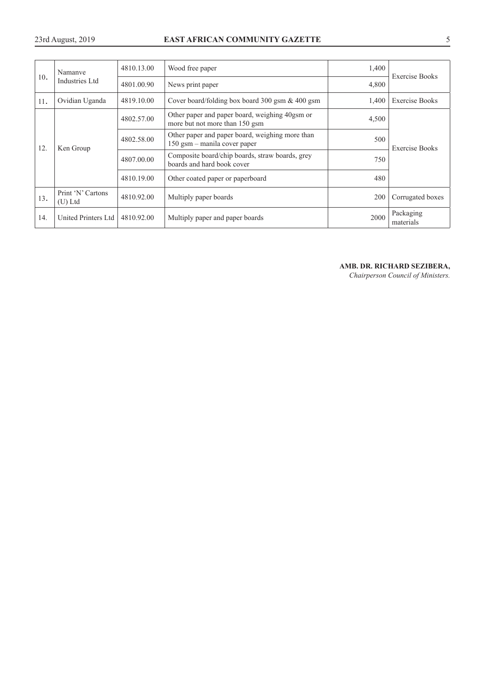## 23rd August, 2019 **EAST AFRICAN COMMUNITY GAZETTE** 5

|     | Namanye                        | 4810.13.00 | Wood free paper                                                                  | 1,400 |                        |
|-----|--------------------------------|------------|----------------------------------------------------------------------------------|-------|------------------------|
| 10. | Industries Ltd                 | 4801.00.90 | News print paper                                                                 | 4,800 | <b>Exercise Books</b>  |
| 11. | Ovidian Uganda                 | 4819.10.00 | Cover board/folding box board 300 gsm $\&$ 400 gsm                               | 1,400 | <b>Exercise Books</b>  |
| 12. | Ken Group                      | 4802.57.00 | Other paper and paper board, weighing 40gsm or<br>more but not more than 150 gsm | 4,500 |                        |
|     |                                | 4802.58.00 | Other paper and paper board, weighing more than<br>150 gsm - manila cover paper  | 500   | <b>Exercise Books</b>  |
|     |                                | 4807.00.00 | Composite board/chip boards, straw boards, grey<br>boards and hard book cover    | 750   |                        |
|     |                                | 4810.19.00 | Other coated paper or paperboard                                                 | 480   |                        |
| 13. | Print 'N' Cartons<br>$(U)$ Ltd | 4810.92.00 | Multiply paper boards                                                            | 200   | Corrugated boxes       |
| 14. | United Printers Ltd            | 4810.92.00 | Multiply paper and paper boards                                                  | 2000  | Packaging<br>materials |

## **AMB. DR. RICHARD SEZIBERA,**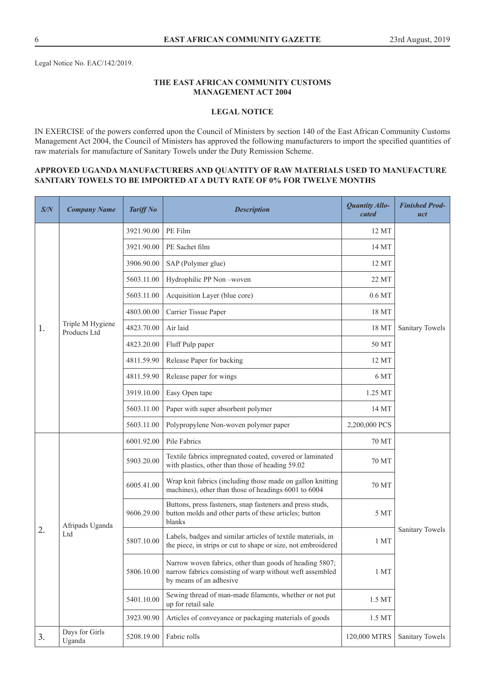Legal Notice No. EAC/142/2019.

## **THE EAST AFRICAN COMMUNITY CUSTOMS MANAGEMENT ACT 2004**

## **LEGAL NOTICE**

IN EXERCISE of the powers conferred upon the Council of Ministers by section 140 of the East African Community Customs Management Act 2004, the Council of Ministers has approved the following manufacturers to import the specified quantities of raw materials for manufacture of Sanitary Towels under the Duty Remission Scheme.

## **APPROVED UGANDA MANUFACTURERS AND QUANTITY OF RAW MATERIALS USED TO MANUFACTURE SANITARY TOWELS TO BE IMPORTED AT A DUTY RATE OF 0% FOR TWELVE MONTHS**

| S/N | <b>Company Name</b>              | <b>Tariff No</b> | <b>Description</b>                                                                                                                             | <b>Quantity Allo-</b><br>cated | <b>Finished Prod-</b><br>uct |
|-----|----------------------------------|------------------|------------------------------------------------------------------------------------------------------------------------------------------------|--------------------------------|------------------------------|
|     |                                  | 3921.90.00       | PE Film                                                                                                                                        | 12 MT                          |                              |
|     |                                  | 3921.90.00       | PE Sachet film                                                                                                                                 | 14 MT                          |                              |
|     |                                  | 3906.90.00       | SAP (Polymer glue)                                                                                                                             | 12 MT                          |                              |
|     |                                  | 5603.11.00       | Hydrophilic PP Non-woven                                                                                                                       | 22 MT                          |                              |
|     |                                  | 5603.11.00       | Acquisition Layer (blue core)                                                                                                                  | $0.6\,\mathrm{MT}$             |                              |
|     |                                  | 4803.00.00       | Carrier Tissue Paper                                                                                                                           | 18 MT                          |                              |
| 1.  | Triple M Hygiene<br>Products Ltd | 4823.70.00       | Air laid                                                                                                                                       | 18 MT                          | Sanitary Towels              |
|     |                                  | 4823.20.00       | Fluff Pulp paper                                                                                                                               | 50 MT                          |                              |
|     |                                  | 4811.59.90       | Release Paper for backing                                                                                                                      | 12 MT                          |                              |
|     |                                  | 4811.59.90       | Release paper for wings                                                                                                                        | 6 MT                           |                              |
|     |                                  | 3919.10.00       | Easy Open tape                                                                                                                                 | 1.25 MT                        |                              |
|     |                                  | 5603.11.00       | Paper with super absorbent polymer                                                                                                             | 14 MT                          |                              |
|     |                                  | 5603.11.00       | Polypropylene Non-woven polymer paper                                                                                                          | 2,200,000 PCS                  |                              |
|     |                                  | 6001.92.00       | Pile Fabrics                                                                                                                                   | 70 MT                          |                              |
|     |                                  | 5903.20.00       | Textile fabrics impregnated coated, covered or laminated<br>with plastics, other than those of heading 59.02                                   | 70 MT                          |                              |
|     |                                  | 6005.41.00       | Wrap knit fabrics (including those made on gallon knitting<br>machines), other than those of headings 6001 to 6004                             | 70 MT                          |                              |
|     | Afripads Uganda                  | 9606.29.00       | Buttons, press fasteners, snap fasteners and press studs,<br>button molds and other parts of these articles; button<br>blanks                  | 5 MT                           |                              |
| 2.  | Ltd                              | 5807.10.00       | Labels, badges and similar articles of textile materials, in<br>the piece, in strips or cut to shape or size, not embroidered                  | 1 MT                           | Sanitary Towels              |
|     |                                  | 5806.10.00       | Narrow woven fabrics, other than goods of heading 5807;<br>narrow fabrics consisting of warp without weft assembled<br>by means of an adhesive | 1MT                            |                              |
|     |                                  | 5401.10.00       | Sewing thread of man-made filaments, whether or not put<br>up for retail sale                                                                  | 1.5 MT                         |                              |
|     |                                  | 3923.90.90       | Articles of conveyance or packaging materials of goods                                                                                         | 1.5 MT                         |                              |
| 3.  | Days for Girls<br>Uganda         | 5208.19.00       | Fabric rolls                                                                                                                                   | 120,000 MTRS                   | Sanitary Towels              |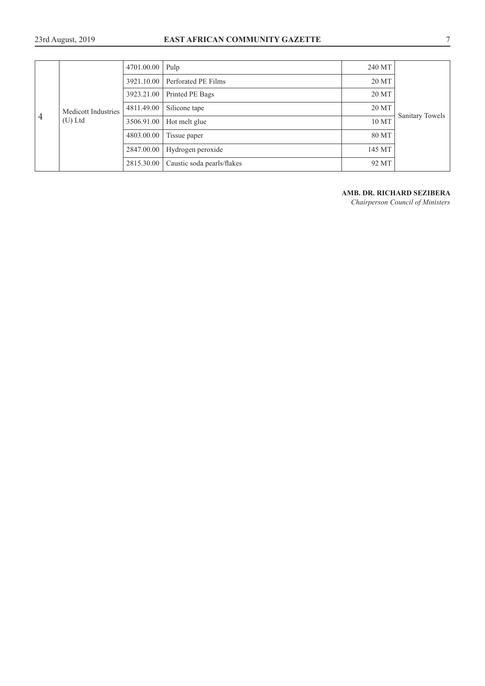# 23rd August, 2019 **EAST AFRICAN COMMUNITY GAZETTE** 7

| $\overline{4}$ | Medicott Industries<br>$(U)$ Ltd | 4701.00.00 | Pulp                       | 240 MT        |       |                 |
|----------------|----------------------------------|------------|----------------------------|---------------|-------|-----------------|
|                |                                  | 3921.10.00 | Perforated PE Films        | 20 MT         |       |                 |
|                |                                  | 3923.21.00 | Printed PE Bags            | 20 MT         |       |                 |
|                |                                  | 4811.49.00 | Silicone tape              | 20 MT         |       |                 |
|                |                                  |            | 3506.91.00                 | Hot melt glue | 10 MT | Sanitary Towels |
|                |                                  | 4803.00.00 | Tissue paper               | 80 MT         |       |                 |
|                |                                  | 2847.00.00 | Hydrogen peroxide          | 145 MT        |       |                 |
|                |                                  | 2815.30.00 | Caustic soda pearls/flakes | 92 MT         |       |                 |

# **AMB. DR. RICHARD SEZIBERA**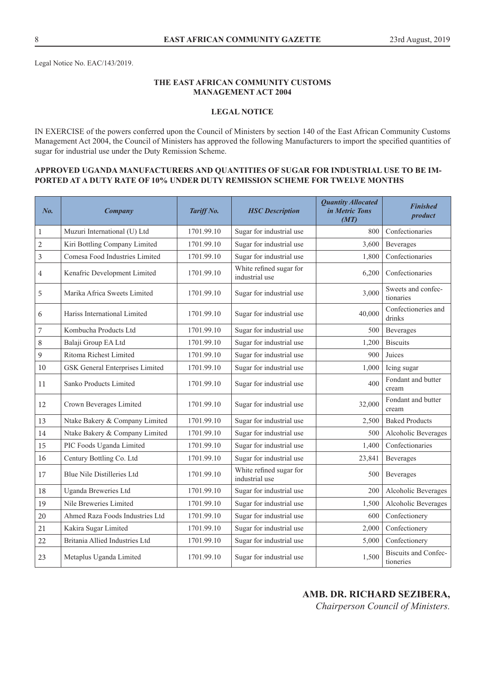Legal Notice No. EAC/143/2019.

## **THE EAST AFRICAN COMMUNITY CUSTOMS MANAGEMENT ACT 2004**

## **LEGAL NOTICE**

IN EXERCISE of the powers conferred upon the Council of Ministers by section 140 of the East African Community Customs Management Act 2004, the Council of Ministers has approved the following Manufacturers to import the specified quantities of sugar for industrial use under the Duty Remission Scheme.

## **APPROVED UGANDA MANUFACTURERS AND QUANTITIES OF SUGAR FOR INDUSTRIAL USE TO BE IM-PORTED AT A DUTY RATE OF 10% UNDER DUTY REMISSION SCHEME FOR TWELVE MONTHS**

| No.            | Company                           | Tariff No. | <b>HSC</b> Description                    | <b>Quantity Allocated</b><br>in Metric Tons<br>(MT) | <b>Finished</b><br>product               |
|----------------|-----------------------------------|------------|-------------------------------------------|-----------------------------------------------------|------------------------------------------|
| $\mathbf{1}$   | Muzuri International (U) Ltd      | 1701.99.10 | Sugar for industrial use                  | 800                                                 | Confectionaries                          |
| $\overline{c}$ | Kiri Bottling Company Limited     | 1701.99.10 | Sugar for industrial use                  | 3,600                                               | Beverages                                |
| $\mathfrak{Z}$ | Comesa Food Industries Limited    | 1701.99.10 | Sugar for industrial use                  | 1,800                                               | Confectionaries                          |
| $\overline{4}$ | Kenafric Development Limited      | 1701.99.10 | White refined sugar for<br>industrial use | 6,200                                               | Confectionaries                          |
| $\mathbf 5$    | Marika Africa Sweets Limited      | 1701.99.10 | Sugar for industrial use                  | 3,000                                               | Sweets and confec-<br>tionaries          |
| 6              | Hariss International Limited      | 1701.99.10 | Sugar for industrial use                  | 40,000                                              | Confectioneries and<br>drinks            |
| $\overline{7}$ | Kombucha Products Ltd             | 1701.99.10 | Sugar for industrial use                  | 500                                                 | <b>Beverages</b>                         |
| $\,8\,$        | Balaji Group EA Ltd               | 1701.99.10 | Sugar for industrial use                  | 1,200                                               | <b>Biscuits</b>                          |
| $\overline{9}$ | Ritoma Richest Limited            | 1701.99.10 | Sugar for industrial use                  | 900                                                 | Juices                                   |
| 10             | GSK General Enterprises Limited   | 1701.99.10 | Sugar for industrial use                  | 1,000                                               | Icing sugar                              |
| 11             | Sanko Products Limited            | 1701.99.10 | Sugar for industrial use                  | 400                                                 | Fondant and butter<br>cream              |
| 12             | Crown Beverages Limited           | 1701.99.10 | Sugar for industrial use                  | 32,000                                              | Fondant and butter<br>cream              |
| 13             | Ntake Bakery & Company Limited    | 1701.99.10 | Sugar for industrial use                  | 2,500                                               | <b>Baked Products</b>                    |
| 14             | Ntake Bakery & Company Limited    | 1701.99.10 | Sugar for industrial use                  | 500                                                 | Alcoholic Beverages                      |
| 15             | PIC Foods Uganda Limited          | 1701.99.10 | Sugar for industrial use                  | 1,400                                               | Confectionaries                          |
| 16             | Century Bottling Co. Ltd          | 1701.99.10 | Sugar for industrial use                  | 23,841                                              | Beverages                                |
| 17             | <b>Blue Nile Distilleries Ltd</b> | 1701.99.10 | White refined sugar for<br>industrial use | 500                                                 | Beverages                                |
| 18             | Uganda Breweries Ltd              | 1701.99.10 | Sugar for industrial use                  | 200                                                 | Alcoholic Beverages                      |
| 19             | Nile Breweries Limited            | 1701.99.10 | Sugar for industrial use                  | 1,500                                               | Alcoholic Beverages                      |
| 20             | Ahmed Raza Foods Industries Ltd   | 1701.99.10 | Sugar for industrial use                  | 600                                                 | Confectionery                            |
| 21             | Kakira Sugar Limited              | 1701.99.10 | Sugar for industrial use                  | 2,000                                               | Confectionery                            |
| 22             | Britania Allied Industries Ltd    | 1701.99.10 | Sugar for industrial use                  | 5,000                                               | Confectionery                            |
| 23             | Metaplus Uganda Limited           | 1701.99.10 | Sugar for industrial use                  | 1,500                                               | <b>Biscuits and Confec-</b><br>tioneries |

# **AMB. DR. RICHARD SEZIBERA,**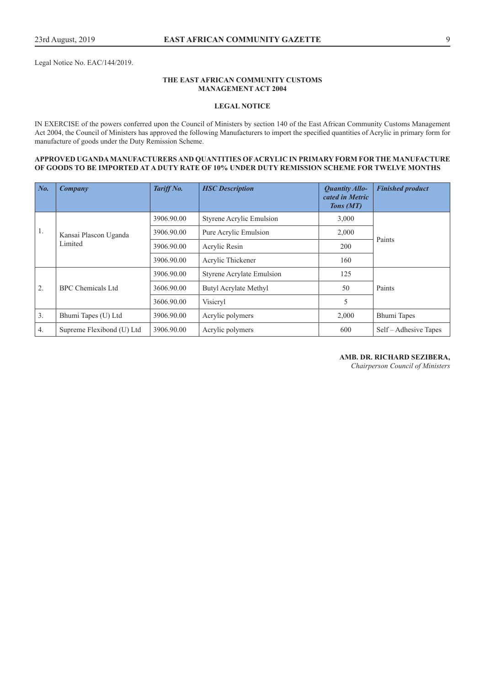Legal Notice No. EAC/144/2019.

#### **THE EAST AFRICAN COMMUNITY CUSTOMS MANAGEMENT ACT 2004**

#### **LEGAL NOTICE**

IN EXERCISE of the powers conferred upon the Council of Ministers by section 140 of the East African Community Customs Management Act 2004, the Council of Ministers has approved the following Manufacturers to import the specified quantities of Acrylic in primary form for manufacture of goods under the Duty Remission Scheme.

#### **APPROVED UGANDA MANUFACTURERS AND QUANTITIES OF ACRYLIC IN PRIMARY FORM FOR THE MANUFACTURE OF GOODS TO BE IMPORTED AT A DUTY RATE OF 10% UNDER DUTY REMISSION SCHEME FOR TWELVE MONTHS**

| $\mid$ No.     | Company                   | Tariff No. | <b>HSC</b> Description           | <b>Quantity Allo-</b><br>cated in Metric<br>Tons (MT) | <b>Finished product</b> |
|----------------|---------------------------|------------|----------------------------------|-------------------------------------------------------|-------------------------|
|                |                           | 3906.90.00 | Styrene Acrylic Emulsion         | 3,000                                                 |                         |
| 1.             | Kansai Plascon Uganda     | 3906.90.00 | Pure Acrylic Emulsion            | 2,000                                                 | Paints                  |
|                | Limited                   | 3906.90.00 | Acrylic Resin                    | 200                                                   |                         |
|                |                           | 3906.90.00 | Acrylic Thickener                | 160                                                   |                         |
|                |                           | 3906.90.00 | <b>Styrene Acrylate Emulsion</b> | 125                                                   |                         |
| 2.             | BPC Chemicals Ltd         | 3606.90.00 | Butyl Acrylate Methyl            | 50                                                    | Paints                  |
|                |                           | 3606.90.00 | Visicryl                         | 5                                                     |                         |
| 3 <sub>1</sub> | Bhumi Tapes (U) Ltd       | 3906.90.00 | Acrylic polymers                 | 2,000                                                 | Bhumi Tapes             |
| 4.             | Supreme Flexibond (U) Ltd | 3906.90.00 | Acrylic polymers                 | 600                                                   | Self – Adhesive Tapes   |

**AMB. DR. RICHARD SEZIBERA,**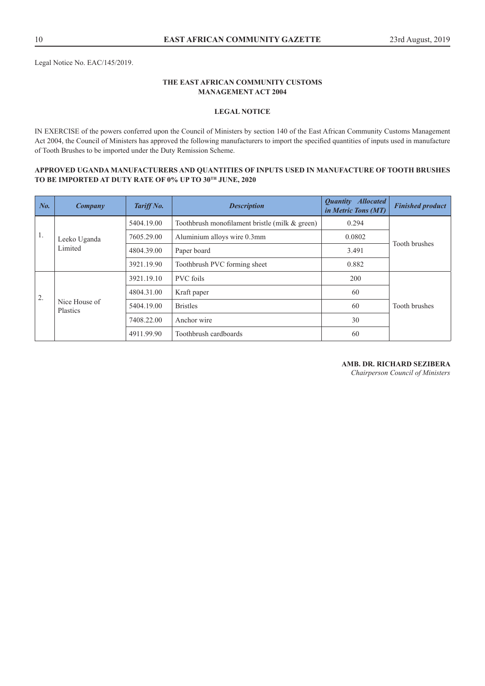Legal Notice No. EAC/145/2019.

#### **THE EAST AFRICAN COMMUNITY CUSTOMS MANAGEMENT ACT 2004**

#### **LEGAL NOTICE**

IN EXERCISE of the powers conferred upon the Council of Ministers by section 140 of the East African Community Customs Management Act 2004, the Council of Ministers has approved the following manufacturers to import the specified quantities of inputs used in manufacture of Tooth Brushes to be imported under the Duty Remission Scheme.

#### **APPROVED UGANDA MANUFACTURERS AND QUANTITIES OF INPUTS USED IN MANUFACTURE OF TOOTH BRUSHES TO BE IMPORTED AT DUTY RATE OF 0% UP TO 30TH JUNE, 2020**

| No. | Company                   | Tariff No. | <b>Description</b>                             | <b>Quantity Allocated</b><br>in Metric Tons (MT) | <b>Finished product</b> |
|-----|---------------------------|------------|------------------------------------------------|--------------------------------------------------|-------------------------|
|     |                           | 5404.19.00 | Toothbrush monofilament bristle (milk & green) | 0.294                                            |                         |
| 1.  | Leeko Uganda              | 7605.29.00 | Aluminium alloys wire 0.3mm                    | 0.0802                                           | <b>Tooth brushes</b>    |
|     | Limited                   | 4804.39.00 | Paper board                                    | 3.491                                            |                         |
|     |                           | 3921.19.90 | Toothbrush PVC forming sheet                   | 0.882                                            |                         |
|     |                           | 3921.19.10 | <b>PVC</b> foils                               | 200                                              |                         |
| 2.  |                           | 4804.31.00 | Kraft paper                                    | 60                                               |                         |
|     | Nice House of<br>Plastics | 5404.19.00 | <b>Bristles</b>                                | 60                                               | <b>Tooth brushes</b>    |
|     |                           | 7408.22.00 | Anchor wire                                    | 30                                               |                         |
|     |                           | 4911.99.90 | Toothbrush cardboards                          | 60                                               |                         |

#### **AMB. DR. RICHARD SEZIBERA**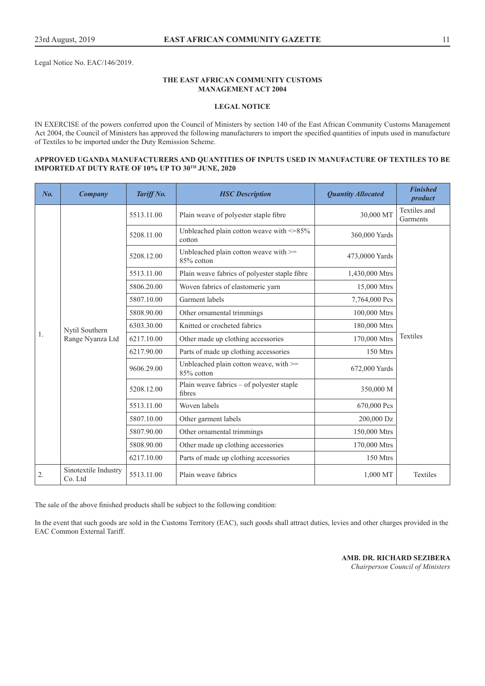Legal Notice No. EAC/146/2019.

#### **THE EAST AFRICAN COMMUNITY CUSTOMS MANAGEMENT ACT 2004**

#### **LEGAL NOTICE**

IN EXERCISE of the powers conferred upon the Council of Ministers by section 140 of the East African Community Customs Management Act 2004, the Council of Ministers has approved the following manufacturers to import the specified quantities of inputs used in manufacture of Textiles to be imported under the Duty Remission Scheme.

#### **APPROVED UGANDA MANUFACTURERS AND QUANTITIES OF INPUTS USED IN MANUFACTURE OF TEXTILES TO BE IMPORTED AT DUTY RATE OF 10% UP TO 30TH JUNE, 2020**

| No. | Company                            | Tariff No. | <b>HSC</b> Description                                   | <b>Quantity Allocated</b> | <b>Finished</b><br>product |
|-----|------------------------------------|------------|----------------------------------------------------------|---------------------------|----------------------------|
|     |                                    | 5513.11.00 | Plain weave of polyester staple fibre                    | 30,000 MT                 | Textiles and<br>Garments   |
|     |                                    | 5208.11.00 | Unbleached plain cotton weave with $\leq$ =85%<br>cotton | 360,000 Yards             |                            |
|     |                                    | 5208.12.00 | Unbleached plain cotton weave with >=<br>85% cotton      | 473,0000 Yards            |                            |
|     |                                    | 5513.11.00 | Plain weave fabrics of polyester staple fibre            | 1,430,000 Mtrs            |                            |
|     |                                    | 5806.20.00 | Woven fabrics of elastomeric yarn                        | 15,000 Mtrs               |                            |
|     |                                    | 5807.10.00 | Garment labels                                           | 7,764,000 Pcs             |                            |
|     | Nytil Southern<br>Range Nyanza Ltd | 5808.90.00 | Other ornamental trimmings                               | 100,000 Mtrs              |                            |
|     |                                    | 6303.30.00 | Knitted or crocheted fabrics                             | 180,000 Mtrs              |                            |
| 1.  |                                    | 6217.10.00 | Other made up clothing accessories                       | 170,000 Mtrs              | Textiles                   |
|     |                                    | 6217.90.00 | Parts of made up clothing accessories                    | 150 Mtrs                  |                            |
|     |                                    | 9606.29.00 | Unbleached plain cotton weave, with >=<br>85% cotton     | 672,000 Yards             |                            |
|     |                                    | 5208.12.00 | Plain weave fabrics – of polyester staple<br>fibres      | 350,000 M                 |                            |
|     |                                    | 5513.11.00 | Woven labels                                             | 670,000 Pcs               |                            |
|     |                                    | 5807.10.00 | Other garment labels                                     | 200,000 Dz                |                            |
|     |                                    | 5807.90.00 | Other ornamental trimmings                               | 150,000 Mtrs              |                            |
|     |                                    | 5808.90.00 | Other made up clothing accessories                       | 170,000 Mtrs              |                            |
|     |                                    | 6217.10.00 | Parts of made up clothing accessories                    | 150 Mtrs                  |                            |
| 2.  | Sinotextile Industry<br>Co. Ltd    | 5513.11.00 | Plain weave fabrics                                      | 1,000 MT                  | Textiles                   |

The sale of the above finished products shall be subject to the following condition:

In the event that such goods are sold in the Customs Territory (EAC), such goods shall attract duties, levies and other charges provided in the EAC Common External Tariff.

> **AMB. DR. RICHARD SEZIBERA**  *Chairperson Council of Ministers*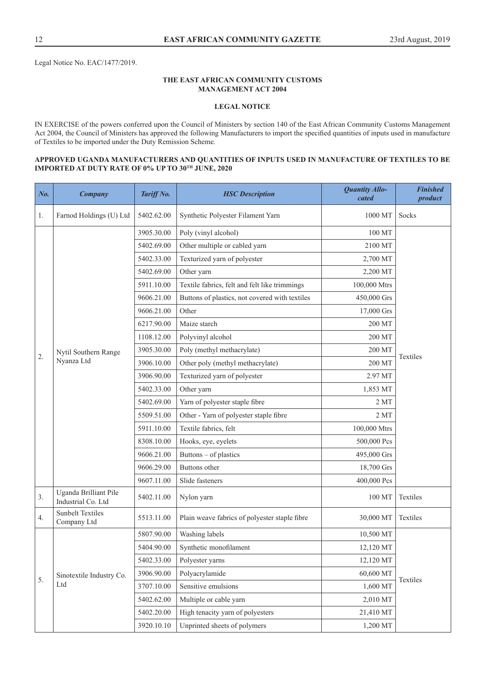Legal Notice No. EAC/1477/2019.

#### **THE EAST AFRICAN COMMUNITY CUSTOMS MANAGEMENT ACT 2004**

#### **LEGAL NOTICE**

IN EXERCISE of the powers conferred upon the Council of Ministers by section 140 of the East African Community Customs Management Act 2004, the Council of Ministers has approved the following Manufacturers to import the specified quantities of inputs used in manufacture of Textiles to be imported under the Duty Remission Scheme.

#### **APPROVED UGANDA MANUFACTURERS AND QUANTITIES OF INPUTS USED IN MANUFACTURE OF TEXTILES TO BE IMPORTED AT DUTY RATE OF 0% UP TO 30TH JUNE, 2020**

| No. | Company                                     | Tariff No. | <b>HSC</b> Description                         | <b>Quantity Allo-</b><br>cated | <b>Finished</b><br>product |
|-----|---------------------------------------------|------------|------------------------------------------------|--------------------------------|----------------------------|
| 1.  | Farnod Holdings (U) Ltd                     | 5402.62.00 | Synthetic Polyester Filament Yarn              | 1000 MT                        | Socks                      |
|     |                                             | 3905.30.00 | Poly (vinyl alcohol)                           | 100 MT                         |                            |
|     |                                             | 5402.69.00 | Other multiple or cabled yarn                  | 2100 MT                        |                            |
|     |                                             | 5402.33.00 | Texturized yarn of polyester                   | 2,700 MT                       |                            |
|     |                                             | 5402.69.00 | Other yarn                                     | 2,200 MT                       |                            |
|     |                                             | 5911.10.00 | Textile fabrics, felt and felt like trimmings  | 100,000 Mtrs                   |                            |
|     |                                             | 9606.21.00 | Buttons of plastics, not covered with textiles | 450,000 Grs                    |                            |
|     |                                             | 9606.21.00 | Other                                          | 17,000 Grs                     |                            |
|     |                                             | 6217.90.00 | Maize starch                                   | 200 MT                         |                            |
|     |                                             | 1108.12.00 | Polyvinyl alcohol                              | 200 MT                         |                            |
| 2.  | Nytil Southern Range                        | 3905.30.00 | Poly (methyl methacrylate)                     | 200 MT                         | Textiles                   |
|     | Nyanza Ltd                                  | 3906.10.00 | Other poly (methyl methacrylate)               | 200 MT                         |                            |
|     |                                             | 3906.90.00 | Texturized yarn of polyester                   | 2.97 MT                        |                            |
|     |                                             | 5402.33.00 | Other yarn                                     | 1,853 MT                       |                            |
|     |                                             | 5402.69.00 | Yarn of polyester staple fibre                 | 2MT                            |                            |
|     |                                             | 5509.51.00 | Other - Yarn of polyester staple fibre         | 2MT                            |                            |
|     |                                             | 5911.10.00 | Textile fabrics, felt                          | 100,000 Mtrs                   |                            |
|     |                                             | 8308.10.00 | Hooks, eye, eyelets                            | 500,000 Pcs                    |                            |
|     |                                             | 9606.21.00 | Buttons – of plastics                          | 495,000 Grs                    |                            |
|     |                                             | 9606.29.00 | Buttons other                                  | 18,700 Grs                     |                            |
|     |                                             | 9607.11.00 | Slide fasteners                                | 400,000 Pcs                    |                            |
| 3.  | Uganda Brilliant Pile<br>Industrial Co. Ltd | 5402.11.00 | Nylon yarn                                     | 100 MT                         | Textiles                   |
| 4.  | <b>Sunbelt Textiles</b><br>Company Ltd      | 5513.11.00 | Plain weave fabrics of polyester staple fibre  | 30,000 MT                      | Textiles                   |
|     |                                             | 5807.90.00 | Washing labels                                 | 10,500 MT                      |                            |
|     |                                             | 5404.90.00 | Synthetic monofilament                         | 12,120 MT                      |                            |
|     |                                             | 5402.33.00 | Polyester yarns                                | 12,120 MT                      |                            |
|     | Sinotextile Industry Co.                    | 3906.90.00 | Polyacrylamide                                 | 60,600 MT                      |                            |
| 5.  | Ltd                                         | 3707.10.00 | Sensitive emulsions                            | 1,600 MT                       | Textiles                   |
|     |                                             | 5402.62.00 | Multiple or cable yarn                         | 2,010 MT                       |                            |
|     |                                             | 5402.20.00 | High tenacity yarn of polyesters               | 21,410 MT                      |                            |
|     |                                             | 3920.10.10 | Unprinted sheets of polymers                   | 1,200 MT                       |                            |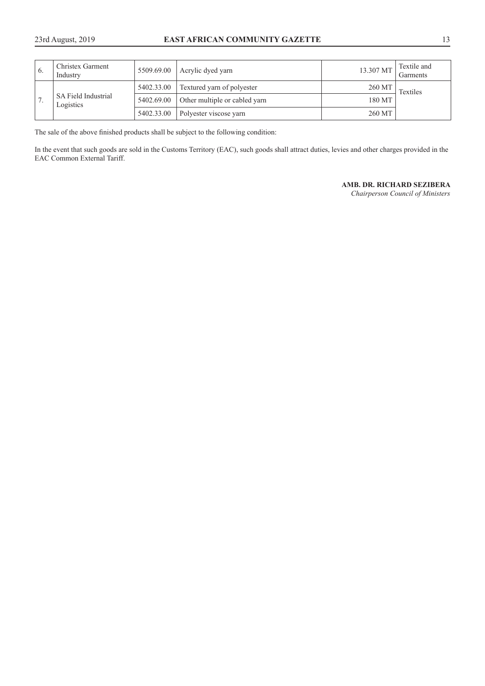| $\mathbf{6}$ | Christex Garment<br>Industry     | 5509.69.00 | Acrylic dyed yarn             | 13.307 MT | Textile and<br>Garments |
|--------------|----------------------------------|------------|-------------------------------|-----------|-------------------------|
|              | SA Field Industrial<br>Logistics | 5402.33.00 | Textured yarn of polyester    | 260 MT    | Textiles                |
|              |                                  | 5402.69.00 | Other multiple or cabled yarn | 180 MT    |                         |
|              |                                  | 5402.33.00 | Polyester viscose yarn        | 260 MT    |                         |

The sale of the above finished products shall be subject to the following condition:

In the event that such goods are sold in the Customs Territory (EAC), such goods shall attract duties, levies and other charges provided in the EAC Common External Tariff.

#### **AMB. DR. RICHARD SEZIBERA**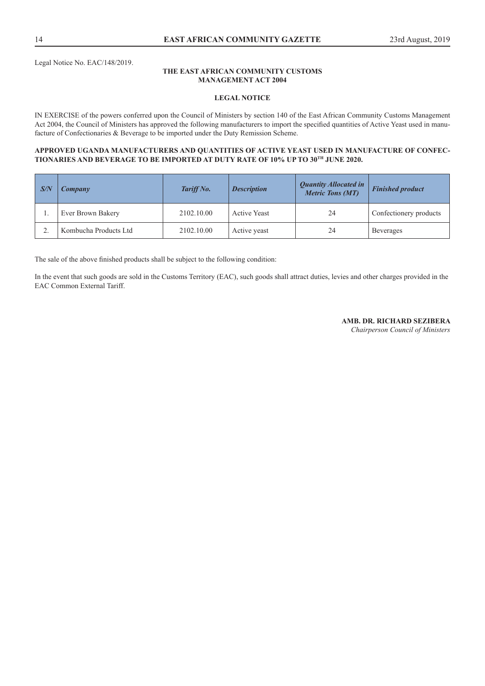Legal Notice No. EAC/148/2019.

#### **THE EAST AFRICAN COMMUNITY CUSTOMS MANAGEMENT ACT 2004**

#### **LEGAL NOTICE**

IN EXERCISE of the powers conferred upon the Council of Ministers by section 140 of the East African Community Customs Management Act 2004, the Council of Ministers has approved the following manufacturers to import the specified quantities of Active Yeast used in manufacture of Confectionaries & Beverage to be imported under the Duty Remission Scheme.

#### **APPROVED UGANDA MANUFACTURERS AND QUANTITIES OF ACTIVE YEAST USED IN MANUFACTURE OF CONFEC-TIONARIES AND BEVERAGE TO BE IMPORTED AT DUTY RATE OF 10% UP TO 30TH JUNE 2020.**

| $\sqrt{S/N}$ | Company               | Tariff No. | <b>Description</b>  | <b>Quantity Allocated in</b><br><b>Metric Tons (MT)</b> | <b>Finished product</b> |
|--------------|-----------------------|------------|---------------------|---------------------------------------------------------|-------------------------|
|              | Ever Brown Bakery     | 2102.10.00 | <b>Active Yeast</b> | 24                                                      | Confectionery products  |
|              | Kombucha Products Ltd | 2102.10.00 | Active yeast        | 24                                                      | <b>Beverages</b>        |

The sale of the above finished products shall be subject to the following condition:

In the event that such goods are sold in the Customs Territory (EAC), such goods shall attract duties, levies and other charges provided in the EAC Common External Tariff.

#### **AMB. DR. RICHARD SEZIBERA**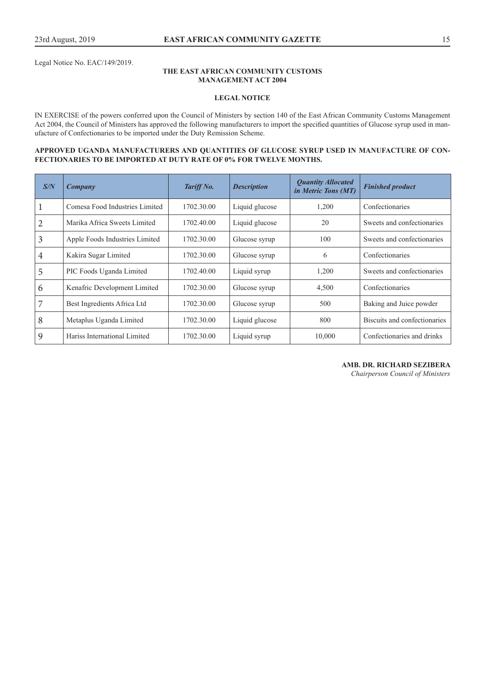Legal Notice No. EAC/149/2019.

#### **THE EAST AFRICAN COMMUNITY CUSTOMS MANAGEMENT ACT 2004**

#### **LEGAL NOTICE**

IN EXERCISE of the powers conferred upon the Council of Ministers by section 140 of the East African Community Customs Management Act 2004, the Council of Ministers has approved the following manufacturers to import the specified quantities of Glucose syrup used in manufacture of Confectionaries to be imported under the Duty Remission Scheme.

#### **APPROVED UGANDA MANUFACTURERS AND QUANTITIES OF GLUCOSE SYRUP USED IN MANUFACTURE OF CON-FECTIONARIES TO BE IMPORTED AT DUTY RATE OF 0% FOR TWELVE MONTHS.**

| S/N            | Company                        | Tariff No. | <b>Description</b> | <b>Quantity Allocated</b><br>in Metric Tons (MT) | <b>Finished product</b>      |
|----------------|--------------------------------|------------|--------------------|--------------------------------------------------|------------------------------|
| 1              | Comesa Food Industries Limited | 1702.30.00 | Liquid glucose     | 1,200                                            | Confectionaries              |
| $\overline{2}$ | Marika Africa Sweets Limited   | 1702.40.00 | Liquid glucose     | 20                                               | Sweets and confectionaries   |
| 3              | Apple Foods Industries Limited | 1702.30.00 | Glucose syrup      | 100                                              | Sweets and confectionaries   |
| $\overline{4}$ | Kakira Sugar Limited           | 1702.30.00 | Glucose syrup      | 6                                                | Confectionaries              |
| 5              | PIC Foods Uganda Limited       | 1702.40.00 | Liquid syrup       | 1,200                                            | Sweets and confectionaries   |
| 6              | Kenafric Development Limited   | 1702.30.00 | Glucose syrup      | 4,500                                            | Confectionaries              |
| 7              | Best Ingredients Africa Ltd    | 1702.30.00 | Glucose syrup      | 500                                              | Baking and Juice powder      |
| 8              | Metaplus Uganda Limited        | 1702.30.00 | Liquid glucose     | 800                                              | Biscuits and confectionaries |
| 9              | Hariss International Limited   | 1702.30.00 | Liquid syrup       | 10,000                                           | Confectionaries and drinks   |

**AMB. DR. RICHARD SEZIBERA**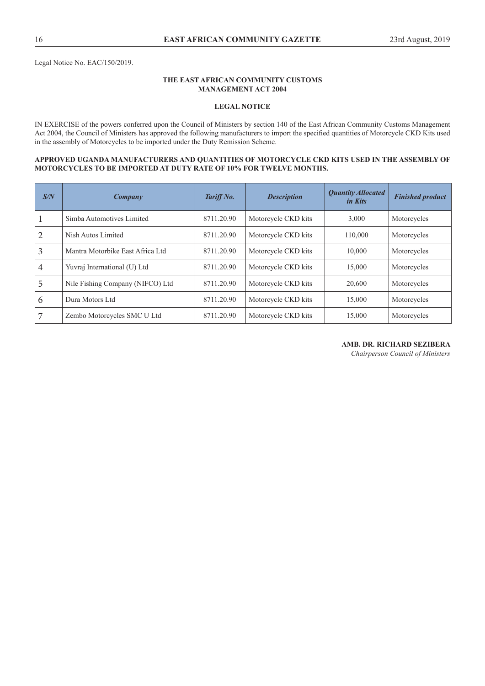Legal Notice No. EAC/150/2019.

#### **THE EAST AFRICAN COMMUNITY CUSTOMS MANAGEMENT ACT 2004**

#### **LEGAL NOTICE**

IN EXERCISE of the powers conferred upon the Council of Ministers by section 140 of the East African Community Customs Management Act 2004, the Council of Ministers has approved the following manufacturers to import the specified quantities of Motorcycle CKD Kits used in the assembly of Motorcycles to be imported under the Duty Remission Scheme.

#### **APPROVED UGANDA MANUFACTURERS AND QUANTITIES OF MOTORCYCLE CKD KITS USED IN THE ASSEMBLY OF MOTORCYCLES TO BE IMPORTED AT DUTY RATE OF 10% FOR TWELVE MONTHS.**

| S/N            | Company                          | Tariff No. | <b>Description</b>  | <b>Quantity Allocated</b><br><i>in Kits</i> | <b>Finished product</b> |
|----------------|----------------------------------|------------|---------------------|---------------------------------------------|-------------------------|
|                | Simba Automotives Limited        | 8711.20.90 | Motorcycle CKD kits | 3,000                                       | Motorcycles             |
| $\overline{2}$ | Nish Autos Limited               | 8711.20.90 | Motorcycle CKD kits | 110,000                                     | Motorcycles             |
| 3              | Mantra Motorbike East Africa Ltd | 8711.20.90 | Motorcycle CKD kits | 10.000                                      | Motorcycles             |
| 4              | Yuvraj International (U) Ltd     | 8711.20.90 | Motorcycle CKD kits | 15.000                                      | Motorcycles             |
| 5              | Nile Fishing Company (NIFCO) Ltd | 8711.20.90 | Motorcycle CKD kits | 20,600                                      | Motorcycles             |
| 6              | Dura Motors Ltd                  | 8711.20.90 | Motorcycle CKD kits | 15,000                                      | Motorcycles             |
| 7              | Zembo Motorcycles SMC U Ltd      | 8711.20.90 | Motorcycle CKD kits | 15,000                                      | Motorcycles             |

#### **AMB. DR. RICHARD SEZIBERA**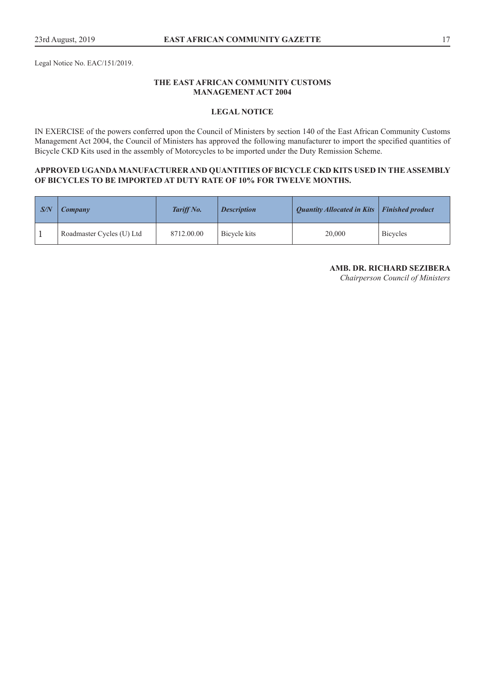Legal Notice No. EAC/151/2019.

## **THE EAST AFRICAN COMMUNITY CUSTOMS MANAGEMENT ACT 2004**

## **LEGAL NOTICE**

IN EXERCISE of the powers conferred upon the Council of Ministers by section 140 of the East African Community Customs Management Act 2004, the Council of Ministers has approved the following manufacturer to import the specified quantities of Bicycle CKD Kits used in the assembly of Motorcycles to be imported under the Duty Remission Scheme.

## **APPROVED UGANDA MANUFACTURER AND QUANTITIES OF BICYCLE CKD KITS USED IN THE ASSEMBLY OF BICYCLES TO BE IMPORTED AT DUTY RATE OF 10% FOR TWELVE MONTHS.**

| $\mathsf{S}/\mathsf{N}$ | <b>Company</b>            | Tariff No. | <b>Description</b> | <b>Quantity Allocated in Kits</b> | <b>Finished product</b> |
|-------------------------|---------------------------|------------|--------------------|-----------------------------------|-------------------------|
|                         | Roadmaster Cycles (U) Ltd | 8712.00.00 | Bicycle kits       | 20,000                            | <b>Bicycles</b>         |

**AMB. DR. RICHARD SEZIBERA**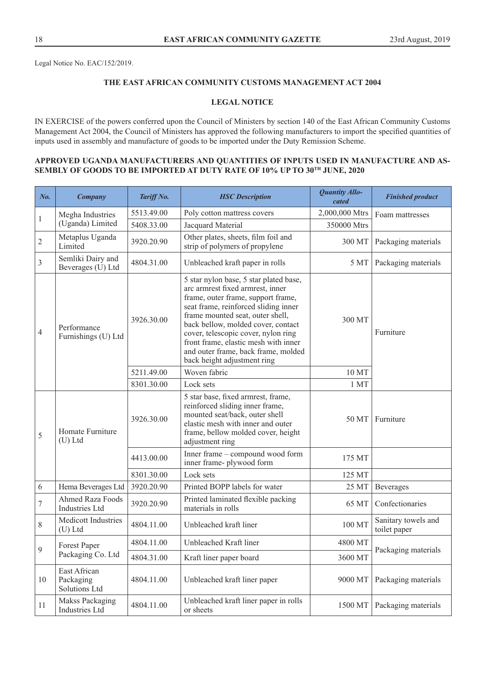Legal Notice No. EAC/152/2019.

## **THE EAST AFRICAN COMMUNITY CUSTOMS MANAGEMENT ACT 2004**

## **LEGAL NOTICE**

IN EXERCISE of the powers conferred upon the Council of Ministers by section 140 of the East African Community Customs Management Act 2004, the Council of Ministers has approved the following manufacturers to import the specified quantities of inputs used in assembly and manufacture of goods to be imported under the Duty Remission Scheme.

## **APPROVED UGANDA MANUFACTURERS AND QUANTITIES OF INPUTS USED IN MANUFACTURE AND AS-SEMBLY OF GOODS TO BE IMPORTED AT DUTY RATE OF 10% UP TO 30TH JUNE, 2020**

| No.              | <b>Company</b>                             | Tariff No. | <b>HSC</b> Description                                                                                                                                                                                                                                                                                                                                                                  | Quantity Allo-<br>cated | <b>Finished product</b>             |
|------------------|--------------------------------------------|------------|-----------------------------------------------------------------------------------------------------------------------------------------------------------------------------------------------------------------------------------------------------------------------------------------------------------------------------------------------------------------------------------------|-------------------------|-------------------------------------|
|                  | Megha Industries                           | 5513.49.00 | Poly cotton mattress covers                                                                                                                                                                                                                                                                                                                                                             | 2,000,000 Mtrs          | Foam mattresses                     |
| 1                | (Uganda) Limited                           | 5408.33.00 | Jacquard Material                                                                                                                                                                                                                                                                                                                                                                       | 350000 Mtrs             |                                     |
| $\overline{c}$   | Metaplus Uganda<br>Limited                 | 3920.20.90 | Other plates, sheets, film foil and<br>strip of polymers of propylene                                                                                                                                                                                                                                                                                                                   | 300 MT                  | Packaging materials                 |
| 3                | Semliki Dairy and<br>Beverages (U) Ltd     | 4804.31.00 | Unbleached kraft paper in rolls                                                                                                                                                                                                                                                                                                                                                         | 5 MT                    | Packaging materials                 |
| $\overline{4}$   | Performance<br>Furnishings (U) Ltd         | 3926.30.00 | 5 star nylon base, 5 star plated base,<br>arc armrest fixed armrest, inner<br>frame, outer frame, support frame,<br>seat frame, reinforced sliding inner<br>frame mounted seat, outer shell,<br>back bellow, molded cover, contact<br>cover, telescopic cover, nylon ring<br>front frame, elastic mesh with inner<br>and outer frame, back frame, molded<br>back height adjustment ring | 300 MT                  | Furniture                           |
|                  |                                            | 5211.49.00 | Woven fabric                                                                                                                                                                                                                                                                                                                                                                            | 10 MT                   |                                     |
|                  |                                            | 8301.30.00 | Lock sets                                                                                                                                                                                                                                                                                                                                                                               | 1 MT                    |                                     |
| 5                | Homate Furniture<br>$(U)$ Ltd              | 3926.30.00 | 5 star base, fixed armrest, frame,<br>reinforced sliding inner frame,<br>mounted seat/back, outer shell<br>elastic mesh with inner and outer<br>frame, bellow molded cover, height<br>adjustment ring                                                                                                                                                                                   | 50 MT                   | Furniture                           |
|                  |                                            | 4413.00.00 | Inner frame - compound wood form<br>inner frame-plywood form                                                                                                                                                                                                                                                                                                                            | 175 MT                  |                                     |
|                  |                                            | 8301.30.00 | Lock sets                                                                                                                                                                                                                                                                                                                                                                               | 125 MT                  |                                     |
| 6                | Hema Beverages Ltd                         | 3920.20.90 | Printed BOPP labels for water                                                                                                                                                                                                                                                                                                                                                           | 25 MT                   | <b>Beverages</b>                    |
| $\boldsymbol{7}$ | Ahmed Raza Foods<br><b>Industries Ltd</b>  | 3920.20.90 | Printed laminated flexible packing<br>materials in rolls                                                                                                                                                                                                                                                                                                                                | 65 MT                   | Confectionaries                     |
| 8                | Medicott Industries<br>(U) Ltd             | 4804.11.00 | Unbleached kraft liner                                                                                                                                                                                                                                                                                                                                                                  | 100 MT                  | Sanitary towels and<br>toilet paper |
|                  | Forest Paper                               | 4804.11.00 | Unbleached Kraft liner                                                                                                                                                                                                                                                                                                                                                                  | 4800 MT                 |                                     |
| 9                | Packaging Co. Ltd                          | 4804.31.00 | Kraft liner paper board                                                                                                                                                                                                                                                                                                                                                                 | 3600 MT                 | Packaging materials                 |
| 10               | East African<br>Packaging<br>Solutions Ltd | 4804.11.00 | Unbleached kraft liner paper                                                                                                                                                                                                                                                                                                                                                            | 9000 MT                 | Packaging materials                 |
| 11               | Makss Packaging<br>Industries Ltd          | 4804.11.00 | Unbleached kraft liner paper in rolls<br>or sheets                                                                                                                                                                                                                                                                                                                                      | 1500 MT                 | Packaging materials                 |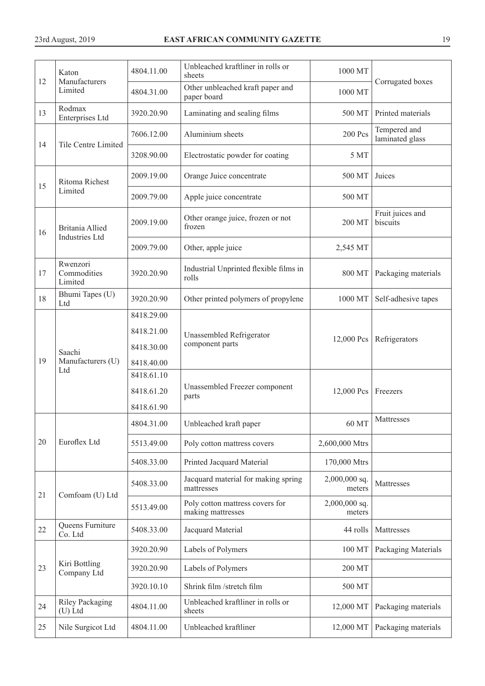|    | Katon                                    | 4804.11.00 | Unbleached kraftliner in rolls or<br>sheets          | 1000 MT                   |                                 |
|----|------------------------------------------|------------|------------------------------------------------------|---------------------------|---------------------------------|
| 12 | Manufacturers<br>Limited                 | 4804.31.00 | Other unbleached kraft paper and<br>paper board      | 1000 MT                   | Corrugated boxes                |
| 13 | Rodmax<br>Enterprises Ltd                | 3920.20.90 | Laminating and sealing films                         | 500 MT                    | Printed materials               |
| 14 | <b>Tile Centre Limited</b>               | 7606.12.00 | Aluminium sheets                                     | <b>200 Pcs</b>            | Tempered and<br>laminated glass |
|    |                                          | 3208.90.00 | Electrostatic powder for coating                     | 5 MT                      |                                 |
| 15 | Ritoma Richest                           | 2009.19.00 | Orange Juice concentrate                             | 500 MT                    | Juices                          |
|    | Limited                                  | 2009.79.00 | Apple juice concentrate                              | 500 MT                    |                                 |
| 16 | Britania Allied<br><b>Industries Ltd</b> | 2009.19.00 | Other orange juice, frozen or not<br>frozen          | 200 MT                    | Fruit juices and<br>biscuits    |
|    |                                          | 2009.79.00 | Other, apple juice                                   | 2,545 MT                  |                                 |
| 17 | Rwenzori<br>Commodities<br>Limited       | 3920.20.90 | Industrial Unprinted flexible films in<br>rolls      | 800 MT                    | Packaging materials             |
| 18 | Bhumi Tapes (U)<br>Ltd                   | 3920.20.90 | Other printed polymers of propylene                  | 1000 MT                   | Self-adhesive tapes             |
|    | Saachi<br>Manufacturers (U)<br>Ltd       | 8418.29.00 |                                                      |                           |                                 |
|    |                                          | 8418.21.00 | Unassembled Refrigerator                             |                           |                                 |
|    |                                          | 8418.30.00 | component parts                                      | 12,000 Pcs                | Refrigerators                   |
| 19 |                                          | 8418.40.00 |                                                      |                           |                                 |
|    |                                          | 8418.61.10 |                                                      |                           |                                 |
|    |                                          | 8418.61.20 | Unassembled Freezer component<br>parts               | 12,000 Pcs                | Freezers                        |
|    |                                          | 8418.61.90 |                                                      |                           |                                 |
|    |                                          | 4804.31.00 | Unbleached kraft paper                               | 60 MT                     | Mattresses                      |
| 20 | Euroflex Ltd                             | 5513.49.00 | Poly cotton mattress covers                          | 2,600,000 Mtrs            |                                 |
|    |                                          | 5408.33.00 | Printed Jacquard Material                            | 170,000 Mtrs              |                                 |
| 21 | Comfoam (U) Ltd                          | 5408.33.00 | Jacquard material for making spring<br>mattresses    | 2,000,000 sq.<br>meters   | Mattresses                      |
|    |                                          | 5513.49.00 | Poly cotton mattress covers for<br>making mattresses | $2,000,000$ sq.<br>meters |                                 |
| 22 | Queens Furniture<br>Co. Ltd              | 5408.33.00 | Jacquard Material                                    | 44 rolls                  | Mattresses                      |
|    |                                          | 3920.20.90 | Labels of Polymers                                   | 100 MT                    | Packaging Materials             |
| 23 | Kiri Bottling<br>Company Ltd             | 3920.20.90 | Labels of Polymers                                   | 200 MT                    |                                 |
|    |                                          | 3920.10.10 | Shrink film /stretch film                            | 500 MT                    |                                 |
| 24 | Riley Packaging<br>(U) Ltd               | 4804.11.00 | Unbleached kraftliner in rolls or<br>sheets          | 12,000 MT                 | Packaging materials             |
| 25 | Nile Surgicot Ltd                        | 4804.11.00 | Unbleached kraftliner                                | 12,000 MT                 | Packaging materials             |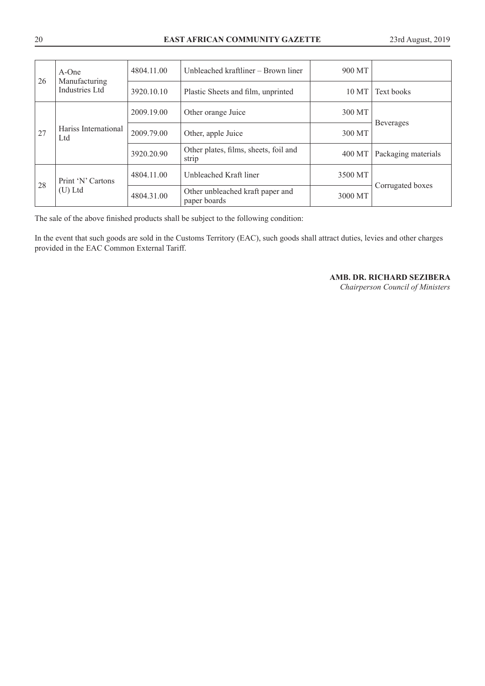| 26 | $A$ -One<br>Manufacturing<br>Industries Ltd | 4804.11.00 | Unbleached kraftliner – Brown liner              | 900 MT  |                     |
|----|---------------------------------------------|------------|--------------------------------------------------|---------|---------------------|
|    |                                             | 3920.10.10 | Plastic Sheets and film, unprinted               | 10 MT   | Text books          |
|    |                                             | 2009.19.00 | Other orange Juice                               | 300 MT  |                     |
| 27 | Hariss International<br>Ltd                 | 2009.79.00 | Other, apple Juice                               | 300 MT  | <b>Beverages</b>    |
|    |                                             | 3920.20.90 | Other plates, films, sheets, foil and<br>strip   | 400 MT  | Packaging materials |
| 28 | Print 'N' Cartons<br>$(U)$ Ltd              | 4804.11.00 | Unbleached Kraft liner                           | 3500 MT |                     |
|    |                                             | 4804.31.00 | Other unbleached kraft paper and<br>paper boards | 3000 MT | Corrugated boxes    |

The sale of the above finished products shall be subject to the following condition:

In the event that such goods are sold in the Customs Territory (EAC), such goods shall attract duties, levies and other charges provided in the EAC Common External Tariff.

**AMB. DR. RICHARD SEZIBERA**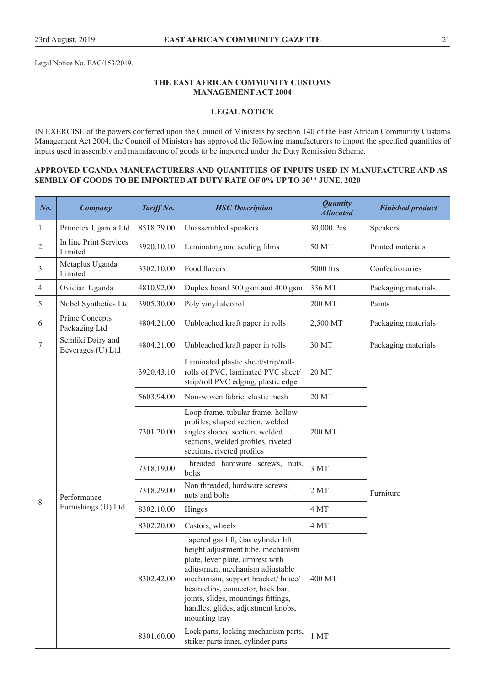Legal Notice No. EAC/153/2019.

## **THE EAST AFRICAN COMMUNITY CUSTOMS MANAGEMENT ACT 2004**

## **LEGAL NOTICE**

IN EXERCISE of the powers conferred upon the Council of Ministers by section 140 of the East African Community Customs Management Act 2004, the Council of Ministers has approved the following manufacturers to import the specified quantities of inputs used in assembly and manufacture of goods to be imported under the Duty Remission Scheme.

## **APPROVED UGANDA MANUFACTURERS AND QUANTITIES OF INPUTS USED IN MANUFACTURE AND AS-SEMBLY OF GOODS TO BE IMPORTED AT DUTY RATE OF 0% UP TO 30TH JUNE, 2020**

| No.            | <b>Company</b>                         | Tariff No. | <b>HSC</b> Description                                                                                                                                                                                                                                                                                                   | <b>Quantity</b><br><b>Allocated</b> | <b>Finished product</b> |
|----------------|----------------------------------------|------------|--------------------------------------------------------------------------------------------------------------------------------------------------------------------------------------------------------------------------------------------------------------------------------------------------------------------------|-------------------------------------|-------------------------|
| $\mathbf{1}$   | Primetex Uganda Ltd                    | 8518.29.00 | Unassembled speakers                                                                                                                                                                                                                                                                                                     | 30,000 Pcs                          | Speakers                |
| $\sqrt{2}$     | In line Print Services<br>Limited      | 3920.10.10 | Laminating and sealing films                                                                                                                                                                                                                                                                                             | 50 MT                               | Printed materials       |
| 3              | Metaplus Uganda<br>Limited             | 3302.10.00 | Food flavors                                                                                                                                                                                                                                                                                                             | 5000 ltrs                           | Confectionaries         |
| $\overline{4}$ | Ovidian Uganda                         | 4810.92.00 | Duplex board 300 gsm and 400 gsm                                                                                                                                                                                                                                                                                         | 336 MT                              | Packaging materials     |
| 5              | Nobel Synthetics Ltd                   | 3905.30.00 | Poly vinyl alcohol                                                                                                                                                                                                                                                                                                       | 200 MT                              | Paints                  |
| 6              | Prime Concepts<br>Packaging Ltd        | 4804.21.00 | Unbleached kraft paper in rolls                                                                                                                                                                                                                                                                                          | 2,500 MT                            | Packaging materials     |
| 7              | Semliki Dairy and<br>Beverages (U) Ltd | 4804.21.00 | Unbleached kraft paper in rolls                                                                                                                                                                                                                                                                                          | 30 MT                               | Packaging materials     |
|                |                                        | 3920.43.10 | Laminated plastic sheet/strip/roll-<br>rolls of PVC, laminated PVC sheet/<br>strip/roll PVC edging, plastic edge                                                                                                                                                                                                         | 20 MT                               |                         |
|                |                                        | 5603.94.00 | Non-woven fabric, elastic mesh                                                                                                                                                                                                                                                                                           | 20 MT                               |                         |
|                |                                        | 7301.20.00 | Loop frame, tubular frame, hollow<br>profiles, shaped section, welded<br>angles shaped section, welded<br>sections, welded profiles, riveted<br>sections, riveted profiles                                                                                                                                               | 200 MT                              |                         |
|                |                                        | 7318.19.00 | Threaded hardware screws, nuts,<br>bolts                                                                                                                                                                                                                                                                                 | 3MT                                 |                         |
| 8              | Performance                            | 7318.29.00 | Non threaded, hardware screws,<br>nuts and bolts                                                                                                                                                                                                                                                                         | 2MT                                 | Furniture               |
|                | Furnishings (U) Ltd                    | 8302.10.00 | Hinges                                                                                                                                                                                                                                                                                                                   | 4 MT                                |                         |
|                |                                        | 8302.20.00 | Castors, wheels                                                                                                                                                                                                                                                                                                          | 4 MT                                |                         |
|                |                                        | 8302.42.00 | Tapered gas lift, Gas cylinder lift,<br>height adjustment tube, mechanism<br>plate, lever plate, armrest with<br>adjustment mechanism adjustable<br>mechanism, support bracket/ brace/<br>beam clips, connector, back bar,<br>joints, slides, mountings fittings,<br>handles, glides, adjustment knobs,<br>mounting tray | 400 MT                              |                         |
|                |                                        | 8301.60.00 | Lock parts, locking mechanism parts,<br>striker parts inner, cylinder parts                                                                                                                                                                                                                                              | 1 MT                                |                         |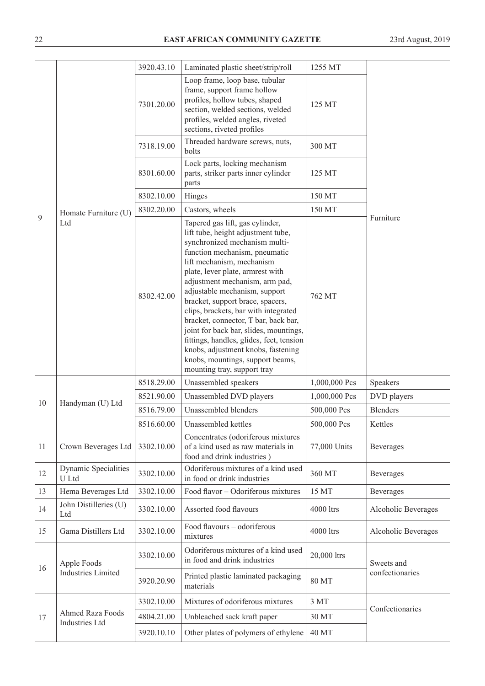|    |                               | 3920.43.10 | Laminated plastic sheet/strip/roll                                                                                                                                                                                                                                                                                                                                                                                                                                                                                                                                                             | 1255 MT       |                     |
|----|-------------------------------|------------|------------------------------------------------------------------------------------------------------------------------------------------------------------------------------------------------------------------------------------------------------------------------------------------------------------------------------------------------------------------------------------------------------------------------------------------------------------------------------------------------------------------------------------------------------------------------------------------------|---------------|---------------------|
|    |                               | 7301.20.00 | Loop frame, loop base, tubular<br>frame, support frame hollow<br>profiles, hollow tubes, shaped<br>section, welded sections, welded<br>profiles, welded angles, riveted<br>sections, riveted profiles                                                                                                                                                                                                                                                                                                                                                                                          | 125 MT        |                     |
|    |                               | 7318.19.00 | Threaded hardware screws, nuts,<br>bolts                                                                                                                                                                                                                                                                                                                                                                                                                                                                                                                                                       | 300 MT        |                     |
|    |                               | 8301.60.00 | Lock parts, locking mechanism<br>parts, striker parts inner cylinder<br>parts                                                                                                                                                                                                                                                                                                                                                                                                                                                                                                                  | 125 MT        |                     |
|    |                               | 8302.10.00 | Hinges                                                                                                                                                                                                                                                                                                                                                                                                                                                                                                                                                                                         | 150 MT        |                     |
|    | Homate Furniture (U)          | 8302.20.00 | Castors, wheels                                                                                                                                                                                                                                                                                                                                                                                                                                                                                                                                                                                | 150 MT        |                     |
| 9  | Ltd                           | 8302.42.00 | Tapered gas lift, gas cylinder,<br>lift tube, height adjustment tube,<br>synchronized mechanism multi-<br>function mechanism, pneumatic<br>lift mechanism, mechanism<br>plate, lever plate, armrest with<br>adjustment mechanism, arm pad,<br>adjustable mechanism, support<br>bracket, support brace, spacers,<br>clips, brackets, bar with integrated<br>bracket, connector, T bar, back bar,<br>joint for back bar, slides, mountings,<br>fittings, handles, glides, feet, tension<br>knobs, adjustment knobs, fastening<br>knobs, mountings, support beams,<br>mounting tray, support tray | 762 MT        | Furniture           |
|    |                               | 8518.29.00 | Unassembled speakers                                                                                                                                                                                                                                                                                                                                                                                                                                                                                                                                                                           | 1,000,000 Pcs | Speakers            |
|    |                               | 8521.90.00 | Unassembled DVD players                                                                                                                                                                                                                                                                                                                                                                                                                                                                                                                                                                        | 1,000,000 Pcs | DVD players         |
| 10 | Handyman (U) Ltd              | 8516.79.00 | Unassembled blenders                                                                                                                                                                                                                                                                                                                                                                                                                                                                                                                                                                           | 500,000 Pcs   | <b>Blenders</b>     |
|    |                               | 8516.60.00 | Unassembled kettles                                                                                                                                                                                                                                                                                                                                                                                                                                                                                                                                                                            | 500,000 Pcs   | Kettles             |
| 11 | Crown Beverages Ltd           | 3302.10.00 | Concentrates (odoriferous mixtures<br>of a kind used as raw materials in<br>food and drink industries)                                                                                                                                                                                                                                                                                                                                                                                                                                                                                         | 77,000 Units  | <b>Beverages</b>    |
| 12 | Dynamic Specialities<br>U Ltd | 3302.10.00 | Odoriferous mixtures of a kind used<br>in food or drink industries                                                                                                                                                                                                                                                                                                                                                                                                                                                                                                                             | 360 MT        | <b>Beverages</b>    |
| 13 | Hema Beverages Ltd            | 3302.10.00 | Food flavor - Odoriferous mixtures                                                                                                                                                                                                                                                                                                                                                                                                                                                                                                                                                             | 15 MT         | <b>Beverages</b>    |
| 14 | John Distilleries (U)<br>Ltd  | 3302.10.00 | Assorted food flavours                                                                                                                                                                                                                                                                                                                                                                                                                                                                                                                                                                         | 4000 ltrs     | Alcoholic Beverages |
| 15 | Gama Distillers Ltd           | 3302.10.00 | Food flavours - odoriferous<br>mixtures                                                                                                                                                                                                                                                                                                                                                                                                                                                                                                                                                        | 4000 ltrs     | Alcoholic Beverages |
| 16 | Apple Foods                   | 3302.10.00 | Odoriferous mixtures of a kind used<br>in food and drink industries                                                                                                                                                                                                                                                                                                                                                                                                                                                                                                                            | 20,000 ltrs   | Sweets and          |
|    | <b>Industries Limited</b>     | 3920.20.90 | Printed plastic laminated packaging<br>materials                                                                                                                                                                                                                                                                                                                                                                                                                                                                                                                                               | <b>80 MT</b>  | confectionaries     |
|    |                               | 3302.10.00 | Mixtures of odoriferous mixtures                                                                                                                                                                                                                                                                                                                                                                                                                                                                                                                                                               | 3 MT          | Confectionaries     |
| 17 | <b>Ahmed Raza Foods</b>       | 4804.21.00 | Unbleached sack kraft paper                                                                                                                                                                                                                                                                                                                                                                                                                                                                                                                                                                    | 30 MT         |                     |
|    | <b>Industries Ltd</b>         | 3920.10.10 | Other plates of polymers of ethylene                                                                                                                                                                                                                                                                                                                                                                                                                                                                                                                                                           | <b>40 MT</b>  |                     |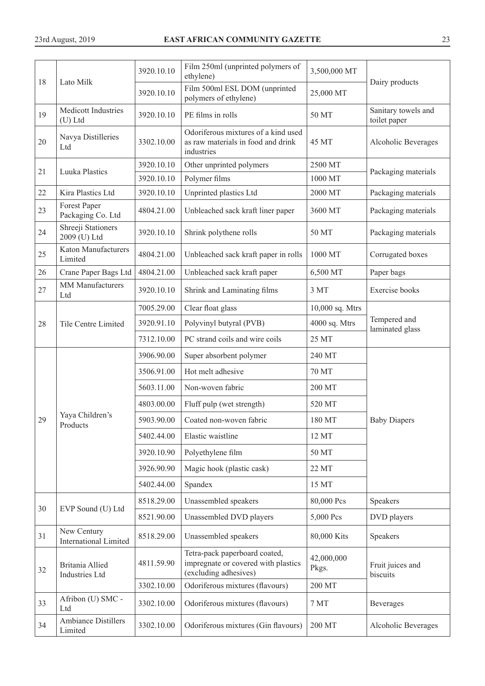|    | Lato Milk                                   | 3920.10.10 | Film 250ml (unprinted polymers of<br>ethylene)                                                | 3,500,000 MT        |                                     |
|----|---------------------------------------------|------------|-----------------------------------------------------------------------------------------------|---------------------|-------------------------------------|
| 18 |                                             | 3920.10.10 | Film 500ml ESL DOM (unprinted<br>polymers of ethylene)                                        | 25,000 MT           | Dairy products                      |
| 19 | Medicott Industries<br>$(U)$ Ltd            | 3920.10.10 | PE films in rolls                                                                             | 50 MT               | Sanitary towels and<br>toilet paper |
| 20 | Navya Distilleries<br>Ltd                   | 3302.10.00 | Odoriferous mixtures of a kind used<br>as raw materials in food and drink<br>industries       | 45 MT               | Alcoholic Beverages                 |
| 21 | <b>Luuka Plastics</b>                       | 3920.10.10 | Other unprinted polymers                                                                      | 2500 MT             | Packaging materials                 |
|    |                                             | 3920.10.10 | Polymer films                                                                                 | 1000 MT             |                                     |
| 22 | Kira Plastics Ltd                           | 3920.10.10 | Unprinted plastics Ltd                                                                        | 2000 MT             | Packaging materials                 |
| 23 | Forest Paper<br>Packaging Co. Ltd           | 4804.21.00 | Unbleached sack kraft liner paper                                                             | 3600 MT             | Packaging materials                 |
| 24 | Shreeji Stationers<br>2009 (U) Ltd          | 3920.10.10 | Shrink polythene rolls                                                                        | 50 MT               | Packaging materials                 |
| 25 | <b>Katon Manufacturers</b><br>Limited       | 4804.21.00 | Unbleached sack kraft paper in rolls                                                          | 1000 MT             | Corrugated boxes                    |
| 26 | Crane Paper Bags Ltd                        | 4804.21.00 | Unbleached sack kraft paper                                                                   | 6,500 MT            | Paper bags                          |
| 27 | <b>MM</b> Manufacturers<br>Ltd              | 3920.10.10 | Shrink and Laminating films                                                                   | 3 MT                | Exercise books                      |
|    |                                             | 7005.29.00 | Clear float glass                                                                             | 10,000 sq. Mtrs     |                                     |
| 28 | Tile Centre Limited                         | 3920.91.10 | Polyvinyl butyral (PVB)                                                                       | 4000 sq. Mtrs       | Tempered and<br>laminated glass     |
|    |                                             | 7312.10.00 | PC strand coils and wire coils                                                                | 25 MT               |                                     |
|    |                                             | 3906.90.00 | Super absorbent polymer                                                                       | 240 MT              |                                     |
|    |                                             | 3506.91.00 | Hot melt adhesive                                                                             | 70 MT               |                                     |
|    |                                             | 5603.11.00 | Non-woven fabric                                                                              | 200 MT              |                                     |
|    |                                             | 4803.00.00 | Fluff pulp (wet strength)                                                                     | 520 MT              |                                     |
| 29 | Yaya Children's<br>Products                 | 5903.90.00 | Coated non-woven fabric                                                                       | 180 MT              | <b>Baby Diapers</b>                 |
|    |                                             | 5402.44.00 | Elastic waistline                                                                             | 12 MT               |                                     |
|    |                                             | 3920.10.90 | Polyethylene film                                                                             | 50 MT               |                                     |
|    |                                             | 3926.90.90 | Magic hook (plastic cask)                                                                     | 22 MT               |                                     |
|    |                                             | 5402.44.00 | Spandex                                                                                       | 15 MT               |                                     |
|    |                                             | 8518.29.00 | Unassembled speakers                                                                          | 80,000 Pcs          | Speakers                            |
| 30 | EVP Sound (U) Ltd                           | 8521.90.00 | Unassembled DVD players                                                                       | 5,000 Pcs           | DVD players                         |
| 31 | New Century<br><b>International Limited</b> | 8518.29.00 | Unassembled speakers                                                                          | 80,000 Kits         | Speakers                            |
| 32 | Britania Allied<br>Industries Ltd           | 4811.59.90 | Tetra-pack paperboard coated,<br>impregnate or covered with plastics<br>(excluding adhesives) | 42,000,000<br>Pkgs. | Fruit juices and<br>biscuits        |
|    |                                             | 3302.10.00 | Odoriferous mixtures (flavours)                                                               | 200 MT              |                                     |
| 33 | Afribon (U) SMC -<br>Ltd                    | 3302.10.00 | Odoriferous mixtures (flavours)                                                               | 7 MT                | Beverages                           |
| 34 | Ambiance Distillers<br>Limited              | 3302.10.00 | Odoriferous mixtures (Gin flavours)                                                           | 200 MT              | Alcoholic Beverages                 |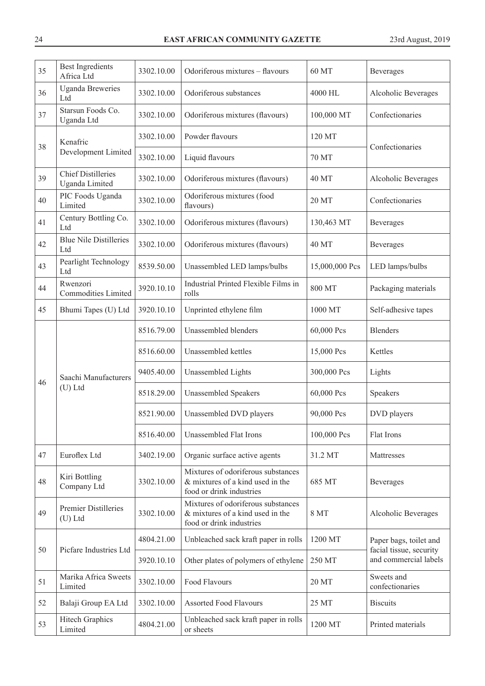| 35 | <b>Best Ingredients</b><br>Africa Ltd       | 3302.10.00 | Odoriferous mixtures - flavours                                                                    | 60 MT          | Beverages                                        |
|----|---------------------------------------------|------------|----------------------------------------------------------------------------------------------------|----------------|--------------------------------------------------|
| 36 | <b>Uganda Breweries</b><br>Ltd              | 3302.10.00 | Odoriferous substances                                                                             | 4000 HL        | Alcoholic Beverages                              |
| 37 | Starsun Foods Co.<br>Uganda Ltd             | 3302.10.00 | Odoriferous mixtures (flavours)                                                                    | 100,000 MT     | Confectionaries                                  |
| 38 | Kenafric                                    | 3302.10.00 | Powder flavours                                                                                    | 120 MT         | Confectionaries                                  |
|    | Development Limited                         | 3302.10.00 | Liquid flavours                                                                                    | 70 MT          |                                                  |
| 39 | <b>Chief Distilleries</b><br>Uganda Limited | 3302.10.00 | Odoriferous mixtures (flavours)                                                                    | <b>40 MT</b>   | Alcoholic Beverages                              |
| 40 | PIC Foods Uganda<br>Limited                 | 3302.10.00 | Odoriferous mixtures (food<br>flavours)                                                            | 20 MT          | Confectionaries                                  |
| 41 | Century Bottling Co.<br>Ltd                 | 3302.10.00 | Odoriferous mixtures (flavours)                                                                    | 130,463 MT     | Beverages                                        |
| 42 | <b>Blue Nile Distilleries</b><br>Ltd        | 3302.10.00 | Odoriferous mixtures (flavours)                                                                    | <b>40 MT</b>   | Beverages                                        |
| 43 | Pearlight Technology<br>Ltd                 | 8539.50.00 | Unassembled LED lamps/bulbs                                                                        | 15,000,000 Pcs | LED lamps/bulbs                                  |
| 44 | Rwenzori<br>Commodities Limited             | 3920.10.10 | Industrial Printed Flexible Films in<br>rolls                                                      | 800 MT         | Packaging materials                              |
| 45 | Bhumi Tapes (U) Ltd                         | 3920.10.10 | Unprinted ethylene film                                                                            | 1000 MT        | Self-adhesive tapes                              |
|    | Saachi Manufacturers                        | 8516.79.00 | Unassembled blenders                                                                               | 60,000 Pcs     | <b>Blenders</b>                                  |
|    |                                             | 8516.60.00 | Unassembled kettles                                                                                | 15,000 Pcs     | Kettles                                          |
| 46 |                                             | 9405.40.00 | Unassembled Lights                                                                                 | 300,000 Pcs    | Lights                                           |
|    | $(U)$ Ltd                                   | 8518.29.00 | <b>Unassembled Speakers</b>                                                                        | 60,000 Pcs     | Speakers                                         |
|    |                                             | 8521.90.00 | Unassembled DVD players                                                                            | 90,000 Pcs     | DVD players                                      |
|    |                                             | 8516.40.00 | Unassembled Flat Irons                                                                             | 100,000 Pcs    | Flat Irons                                       |
| 47 | Euroflex Ltd                                | 3402.19.00 | Organic surface active agents                                                                      | 31.2 MT        | Mattresses                                       |
| 48 | Kiri Bottling<br>Company Ltd                | 3302.10.00 | Mixtures of odoriferous substances<br>& mixtures of a kind used in the<br>food or drink industries | 685 MT         | Beverages                                        |
| 49 | Premier Distilleries<br>$(U)$ Ltd           | 3302.10.00 | Mixtures of odoriferous substances<br>& mixtures of a kind used in the<br>food or drink industries | 8 MT           | Alcoholic Beverages                              |
|    |                                             | 4804.21.00 | Unbleached sack kraft paper in rolls                                                               | 1200 MT        | Paper bags, toilet and                           |
| 50 | Picfare Industries Ltd                      | 3920.10.10 | Other plates of polymers of ethylene                                                               | 250 MT         | facial tissue, security<br>and commercial labels |
| 51 | Marika Africa Sweets<br>Limited             | 3302.10.00 | Food Flavours                                                                                      | 20 MT          | Sweets and<br>confectionaries                    |
| 52 | Balaji Group EA Ltd                         | 3302.10.00 | <b>Assorted Food Flavours</b>                                                                      | 25 MT          | <b>Biscuits</b>                                  |
| 53 | <b>Hitech Graphics</b><br>Limited           | 4804.21.00 | Unbleached sack kraft paper in rolls<br>or sheets                                                  | 1200 MT        | Printed materials                                |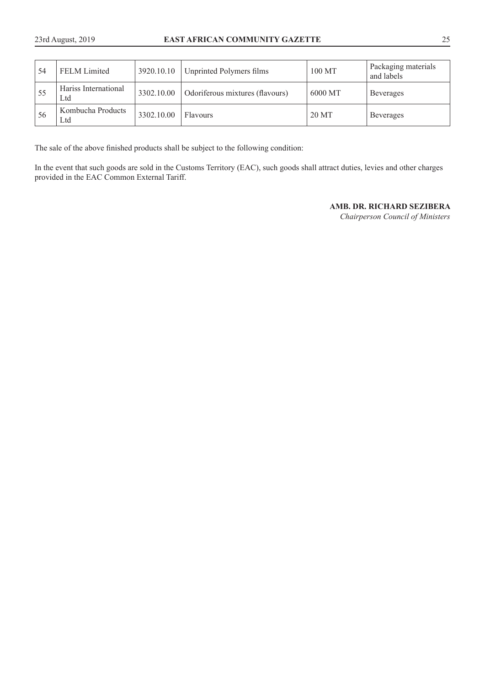| 54  | <b>FELM</b> Limited         | 3920.10.10 | Unprinted Polymers films        | 100 MT  | Packaging materials<br>and labels |
|-----|-----------------------------|------------|---------------------------------|---------|-----------------------------------|
| -55 | Hariss International<br>Ltd | 3302.10.00 | Odoriferous mixtures (flavours) | 6000 MT | <b>Beverages</b>                  |
| -56 | Kombucha Products<br>Ltd    | 3302.10.00 | Flavours                        | 20 MT   | <b>Beverages</b>                  |

The sale of the above finished products shall be subject to the following condition:

In the event that such goods are sold in the Customs Territory (EAC), such goods shall attract duties, levies and other charges provided in the EAC Common External Tariff.

## **AMB. DR. RICHARD SEZIBERA**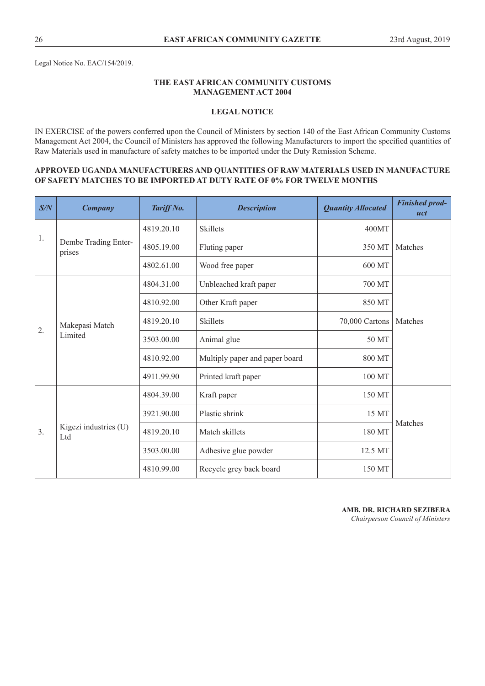Legal Notice No. EAC/154/2019.

## **THE EAST AFRICAN COMMUNITY CUSTOMS MANAGEMENT ACT 2004**

## **LEGAL NOTICE**

IN EXERCISE of the powers conferred upon the Council of Ministers by section 140 of the East African Community Customs Management Act 2004, the Council of Ministers has approved the following Manufacturers to import the specified quantities of Raw Materials used in manufacture of safety matches to be imported under the Duty Remission Scheme.

#### **APPROVED UGANDA MANUFACTURERS AND QUANTITIES OF RAW MATERIALS USED IN MANUFACTURE OF SAFETY MATCHES TO BE IMPORTED AT DUTY RATE OF 0% FOR TWELVE MONTHS**

| S/N  | <b>Company</b>                 | Tariff No. | <b>Description</b>             | <b>Quantity Allocated</b> | <b>Finished prod-</b><br>uct |
|------|--------------------------------|------------|--------------------------------|---------------------------|------------------------------|
| $1.$ |                                | 4819.20.10 | <b>Skillets</b>                | 400MT                     |                              |
|      | Dembe Trading Enter-<br>prises | 4805.19.00 | Fluting paper                  | 350 MT                    | Matches                      |
|      |                                | 4802.61.00 | Wood free paper                | 600 MT                    |                              |
|      |                                | 4804.31.00 | Unbleached kraft paper         | 700 MT                    |                              |
|      |                                | 4810.92.00 | Other Kraft paper              | 850 MT                    |                              |
| 2.   | Makepasi Match<br>Limited      | 4819.20.10 | <b>Skillets</b>                | 70,000 Cartons            | Matches                      |
|      |                                | 3503.00.00 | Animal glue                    | 50 MT                     |                              |
|      |                                | 4810.92.00 | Multiply paper and paper board | 800 MT                    |                              |
|      |                                | 4911.99.90 | Printed kraft paper            | 100 MT                    |                              |
|      |                                | 4804.39.00 | Kraft paper                    | 150 MT                    |                              |
|      |                                | 3921.90.00 | Plastic shrink                 | 15 MT                     |                              |
| 3.   | Kigezi industries (U)<br>Ltd   | 4819.20.10 | Match skillets                 | 180 MT                    | Matches                      |
|      |                                | 3503.00.00 | Adhesive glue powder           | 12.5 MT                   |                              |
|      |                                | 4810.99.00 | Recycle grey back board        | 150 MT                    |                              |

**AMB. DR. RICHARD SEZIBERA**  *Chairperson Council of Ministers*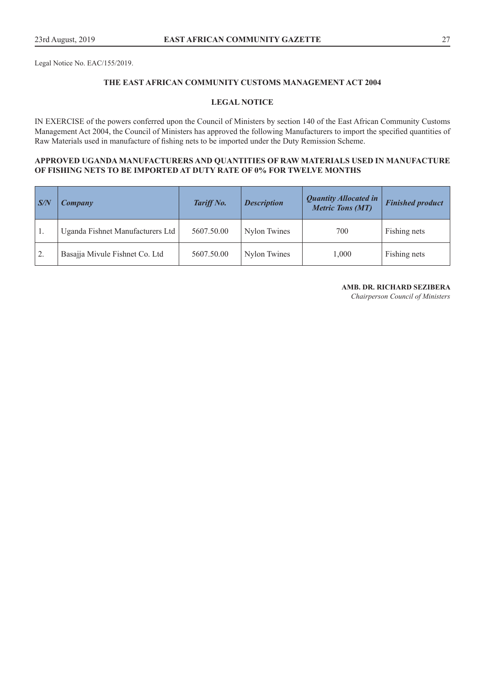Legal Notice No. EAC/155/2019.

## **THE EAST AFRICAN COMMUNITY CUSTOMS MANAGEMENT ACT 2004**

### **LEGAL NOTICE**

IN EXERCISE of the powers conferred upon the Council of Ministers by section 140 of the East African Community Customs Management Act 2004, the Council of Ministers has approved the following Manufacturers to import the specified quantities of Raw Materials used in manufacture of fishing nets to be imported under the Duty Remission Scheme.

## **APPROVED UGANDA MANUFACTURERS AND QUANTITIES OF RAW MATERIALS USED IN MANUFACTURE OF FISHING NETS TO BE IMPORTED AT DUTY RATE OF 0% FOR TWELVE MONTHS**

| S/N            | Company                          | Tariff No. | <b>Description</b> | <b>Quantity Allocated in</b><br><b>Metric Tons (MT)</b> | <b>Finished product</b> |
|----------------|----------------------------------|------------|--------------------|---------------------------------------------------------|-------------------------|
|                | Uganda Fishnet Manufacturers Ltd | 5607.50.00 | Nylon Twines       | 700                                                     | Fishing nets            |
| $^{\prime}$ 2. | Basajja Mivule Fishnet Co. Ltd   | 5607.50.00 | Nylon Twines       | 1,000                                                   | Fishing nets            |

#### **AMB. DR. RICHARD SEZIBERA**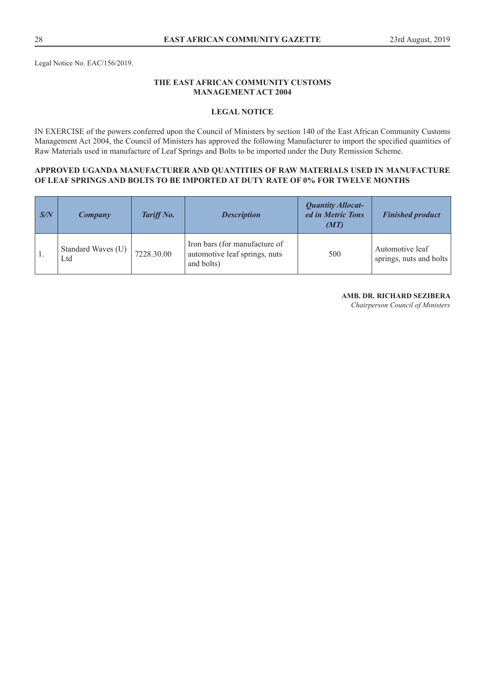Legal Notice No. EAC/156/2019.

# **THE EAST AFRICAN COMMUNITY CUSTOMS MANAGEMENT ACT 2004**

## **LEGAL NOTICE**

IN EXERCISE of the powers conferred upon the Council of Ministers by section 140 of the East African Community Customs Management Act 2004, the Council of Ministers has approved the following Manufacturer to import the specified quantities of Raw Materials used in manufacture of Leaf Springs and Bolts to be imported under the Duty Remission Scheme.

#### **APPROVED UGANDA MANUFACTURER AND QUANTITIES OF RAW MATERIALS USED IN MANUFACTURE OF LEAF SPRINGS AND BOLTS TO BE IMPORTED AT DUTY RATE OF 0% FOR TWELVE MONTHS**

| S/N | Company                   | Tariff No. | <b>Description</b>                                                           | <b>Quantity Allocat-</b><br>ed in Metric Tons<br>(MT) | <b>Finished product</b>                    |
|-----|---------------------------|------------|------------------------------------------------------------------------------|-------------------------------------------------------|--------------------------------------------|
|     | Standard Waves (U)<br>Ltd | 7228.30.00 | Iron bars (for manufacture of<br>automotive leaf springs, nuts<br>and bolts) | 500                                                   | Automotive leaf<br>springs, nuts and bolts |

#### **AMB. DR. RICHARD SEZIBERA**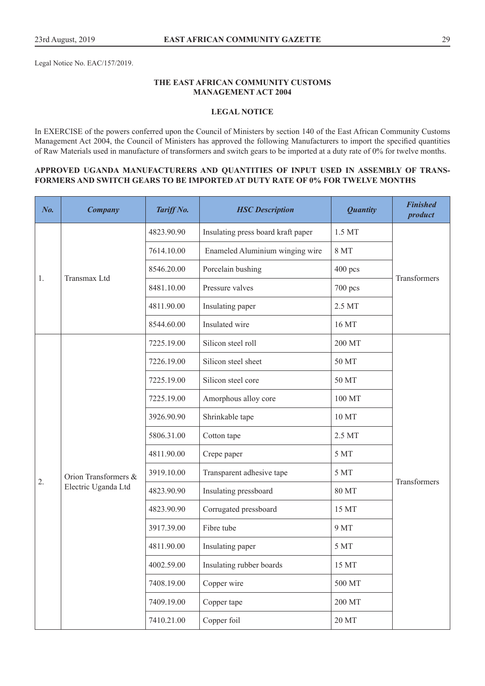Legal Notice No. EAC/157/2019.

## **THE EAST AFRICAN COMMUNITY CUSTOMS MANAGEMENT ACT 2004**

## **LEGAL NOTICE**

In EXERCISE of the powers conferred upon the Council of Ministers by section 140 of the East African Community Customs Management Act 2004, the Council of Ministers has approved the following Manufacturers to import the specified quantities of Raw Materials used in manufacture of transformers and switch gears to be imported at a duty rate of 0% for twelve months.

#### **APPROVED UGANDA MANUFACTURERS AND QUANTITIES OF INPUT USED IN ASSEMBLY OF TRANS-FORMERS AND SWITCH GEARS TO BE IMPORTED AT DUTY RATE OF 0% FOR TWELVE MONTHS**

| $N0$ . | <b>Company</b>       | Tariff No. | <b>HSC</b> Description             | <b>Quantity</b>   | <b>Finished</b><br>product |
|--------|----------------------|------------|------------------------------------|-------------------|----------------------------|
|        |                      | 4823.90.90 | Insulating press board kraft paper | 1.5 MT            | Transformers               |
|        |                      | 7614.10.00 | Enameled Aluminium winging wire    | 8 MT              |                            |
|        | Transmax Ltd         | 8546.20.00 | Porcelain bushing                  | $400$ pcs         |                            |
| 1.     |                      | 8481.10.00 | Pressure valves                    | 700 pcs           |                            |
|        |                      | 4811.90.00 | Insulating paper                   | 2.5 MT            |                            |
|        |                      | 8544.60.00 | Insulated wire                     | 16 MT             |                            |
|        |                      | 7225.19.00 | Silicon steel roll                 | 200 MT            |                            |
|        |                      | 7226.19.00 | Silicon steel sheet                | 50 MT             |                            |
|        |                      | 7225.19.00 | Silicon steel core                 | 50 MT             |                            |
|        |                      | 7225.19.00 | Amorphous alloy core               | 100 MT            |                            |
|        |                      | 3926.90.90 | Shrinkable tape                    | 10 MT             |                            |
|        |                      | 5806.31.00 | Cotton tape                        | 2.5 MT            |                            |
|        |                      | 4811.90.00 | Crepe paper                        | 5 MT              |                            |
| 2.     | Orion Transformers & | 3919.10.00 | Transparent adhesive tape          | 5 MT              | Transformers               |
|        | Electric Uganda Ltd  | 4823.90.90 | Insulating pressboard              | 80 MT             |                            |
|        |                      | 4823.90.90 | Corrugated pressboard              | 15 MT             |                            |
|        |                      | 3917.39.00 | Fibre tube                         | 9 MT              |                            |
|        |                      | 4811.90.00 | Insulating paper                   | 5 MT              |                            |
|        |                      | 4002.59.00 | Insulating rubber boards           | 15 MT             |                            |
|        |                      | 7408.19.00 | Copper wire                        | 500 MT            |                            |
|        |                      | 7409.19.00 | Copper tape                        | 200 MT            |                            |
|        |                      | 7410.21.00 | Copper foil                        | $20\,\mathrm{MT}$ |                            |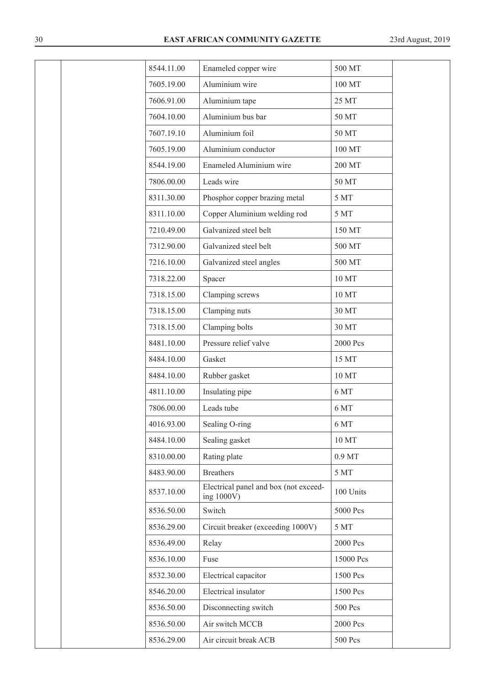| 8544.11.00 | Enameled copper wire                                | 500 MT            |  |
|------------|-----------------------------------------------------|-------------------|--|
| 7605.19.00 | Aluminium wire                                      | 100 MT            |  |
| 7606.91.00 | Aluminium tape                                      | 25 MT             |  |
| 7604.10.00 | Aluminium bus bar                                   | 50 MT             |  |
| 7607.19.10 | Aluminium foil                                      | 50 MT             |  |
| 7605.19.00 | Aluminium conductor                                 | 100 MT            |  |
| 8544.19.00 | Enameled Aluminium wire                             | 200 MT            |  |
| 7806.00.00 | Leads wire                                          | 50 MT             |  |
| 8311.30.00 | Phosphor copper brazing metal                       | 5 MT              |  |
| 8311.10.00 | Copper Aluminium welding rod                        | 5 MT              |  |
| 7210.49.00 | Galvanized steel belt                               | 150 MT            |  |
| 7312.90.00 | Galvanized steel belt                               | 500 MT            |  |
| 7216.10.00 | Galvanized steel angles                             | 500 MT            |  |
| 7318.22.00 | Spacer                                              | 10 MT             |  |
| 7318.15.00 | Clamping screws                                     | 10 MT             |  |
| 7318.15.00 | Clamping nuts                                       | 30 MT             |  |
| 7318.15.00 | Clamping bolts                                      | 30 MT             |  |
| 8481.10.00 | Pressure relief valve                               | 2000 Pcs          |  |
| 8484.10.00 | Gasket                                              | 15 MT             |  |
| 8484.10.00 | Rubber gasket                                       | 10 MT             |  |
| 4811.10.00 | Insulating pipe                                     | 6 MT              |  |
| 7806.00.00 | Leads tube                                          | 6 MT              |  |
| 4016.93.00 | Sealing O-ring                                      | 6 MT              |  |
| 8484.10.00 | Sealing gasket                                      | 10 MT             |  |
| 8310.00.00 | Rating plate                                        | 0.9 <sub>MT</sub> |  |
| 8483.90.00 | <b>Breathers</b>                                    | 5 MT              |  |
| 8537.10.00 | Electrical panel and box (not exceed-<br>ing 1000V) | 100 Units         |  |
| 8536.50.00 | Switch                                              | 5000 Pcs          |  |
| 8536.29.00 | Circuit breaker (exceeding 1000V)                   | 5 MT              |  |
| 8536.49.00 | Relay                                               | 2000 Pcs          |  |
| 8536.10.00 | Fuse                                                | 15000 Pcs         |  |
| 8532.30.00 | Electrical capacitor                                | 1500 Pcs          |  |
| 8546.20.00 | Electrical insulator                                | 1500 Pcs          |  |
| 8536.50.00 | Disconnecting switch                                | 500 Pcs           |  |
| 8536.50.00 | Air switch MCCB                                     | 2000 Pcs          |  |
| 8536.29.00 | Air circuit break ACB                               | 500 Pcs           |  |
|            |                                                     |                   |  |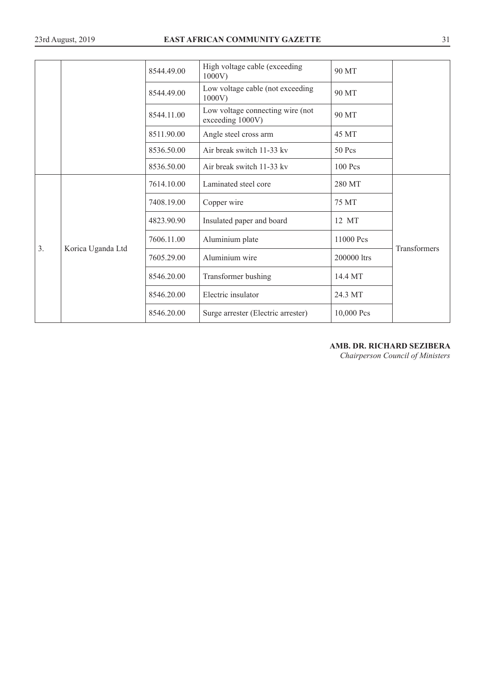|                |                   | 8544.49.00 | High voltage cable (exceeding<br>1000V               | 90 MT       |              |
|----------------|-------------------|------------|------------------------------------------------------|-------------|--------------|
|                |                   | 8544.49.00 | Low voltage cable (not exceeding<br>1000V            | 90 MT       |              |
|                |                   | 8544.11.00 | Low voltage connecting wire (not<br>exceeding 1000V) | 90 MT       |              |
|                |                   | 8511.90.00 | Angle steel cross arm                                | 45 MT       |              |
|                |                   | 8536.50.00 | Air break switch 11-33 kv                            | 50 Pcs      |              |
|                |                   | 8536.50.00 | Air break switch 11-33 kv                            | $100$ Pcs   |              |
|                |                   | 7614.10.00 | Laminated steel core                                 | 280 MT      |              |
|                |                   | 7408.19.00 | Copper wire                                          | 75 MT       |              |
|                |                   | 4823.90.90 | Insulated paper and board                            | 12 MT       |              |
| 3 <sub>1</sub> |                   | 7606.11.00 | Aluminium plate                                      | 11000 Pcs   |              |
|                | Korica Uganda Ltd | 7605.29.00 | Aluminium wire                                       | 200000 ltrs | Transformers |
|                |                   | 8546.20.00 | Transformer bushing                                  | 14.4 MT     |              |
|                |                   | 8546.20.00 | Electric insulator                                   | 24.3 MT     |              |
|                |                   | 8546.20.00 | Surge arrester (Electric arrester)                   | 10,000 Pcs  |              |

# **AMB. DR. RICHARD SEZIBERA**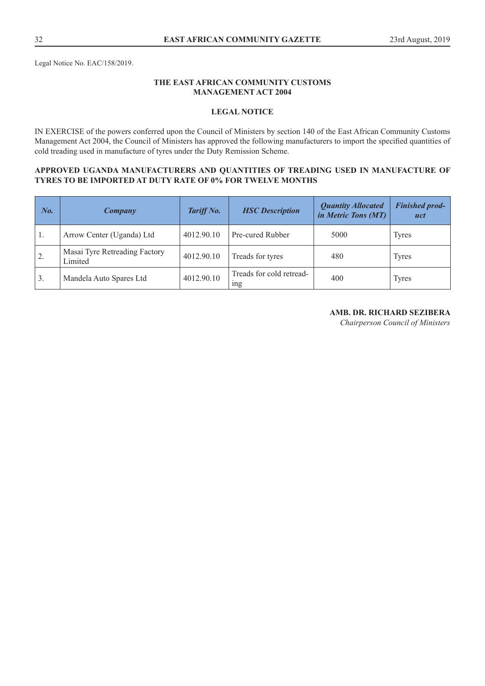## **THE EAST AFRICAN COMMUNITY CUSTOMS MANAGEMENT ACT 2004**

## **LEGAL NOTICE**

IN EXERCISE of the powers conferred upon the Council of Ministers by section 140 of the East African Community Customs Management Act 2004, the Council of Ministers has approved the following manufacturers to import the specified quantities of cold treading used in manufacture of tyres under the Duty Remission Scheme.

## **APPROVED UGANDA MANUFACTURERS AND QUANTITIES OF TREADING USED IN MANUFACTURE OF TYRES TO BE IMPORTED AT DUTY RATE OF 0% FOR TWELVE MONTHS**

| No.            | Company                                  | Tariff No. | <b>HSC</b> Description                      | <b>Quantity Allocated</b><br>in Metric Tons (MT) | <b>Finished prod-</b><br>uct |
|----------------|------------------------------------------|------------|---------------------------------------------|--------------------------------------------------|------------------------------|
| -1.            | Arrow Center (Uganda) Ltd                | 4012.90.10 | Pre-cured Rubber                            | 5000                                             | Tyres                        |
| $^{\prime}$ 2. | Masai Tyre Retreading Factory<br>Limited | 4012.90.10 | Treads for tyres                            | 480                                              | Tyres                        |
| 3.             | Mandela Auto Spares Ltd                  | 4012.90.10 | Treads for cold retread-<br><sub>1</sub> ng | 400                                              | Tyres                        |

## **AMB. DR. RICHARD SEZIBERA**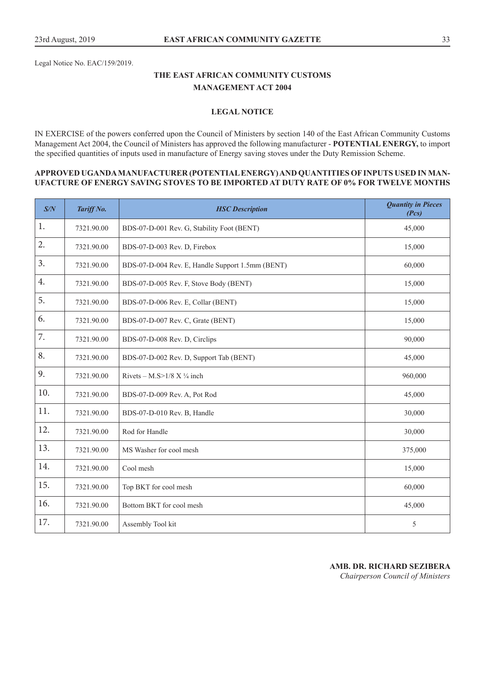Legal Notice No. EAC/159/2019.

# **THE EAST AFRICAN COMMUNITY CUSTOMS MANAGEMENT ACT 2004**

# **LEGAL NOTICE**

IN EXERCISE of the powers conferred upon the Council of Ministers by section 140 of the East African Community Customs Management Act 2004, the Council of Ministers has approved the following manufacturer - **POTENTIAL ENERGY,** to import the specified quantities of inputs used in manufacture of Energy saving stoves under the Duty Remission Scheme.

#### **APPROVED UGANDA MANUFACTURER (POTENTIAL ENERGY) AND QUANTITIES OF INPUTS USED IN MAN-UFACTURE OF ENERGY SAVING STOVES TO BE IMPORTED AT DUTY RATE OF 0% FOR TWELVE MONTHS**

| S/N | Tariff No. | <b>HSC</b> Description                           | <b>Quantity in Pieces</b><br>(Pcs) |
|-----|------------|--------------------------------------------------|------------------------------------|
| 1.  | 7321.90.00 | BDS-07-D-001 Rev. G, Stability Foot (BENT)       | 45,000                             |
| 2.  | 7321.90.00 | BDS-07-D-003 Rev. D, Firebox                     | 15,000                             |
| 3.  | 7321.90.00 | BDS-07-D-004 Rev. E, Handle Support 1.5mm (BENT) | 60,000                             |
| 4.  | 7321.90.00 | BDS-07-D-005 Rev. F, Stove Body (BENT)           | 15,000                             |
| 5.  | 7321.90.00 | BDS-07-D-006 Rev. E, Collar (BENT)               | 15,000                             |
| 6.  | 7321.90.00 | BDS-07-D-007 Rev. C, Grate (BENT)                | 15,000                             |
| 7.  | 7321.90.00 | BDS-07-D-008 Rev. D, Circlips                    | 90,000                             |
| 8.  | 7321.90.00 | BDS-07-D-002 Rev. D, Support Tab (BENT)          | 45,000                             |
| 9.  | 7321.90.00 | Rivets – M.S> $1/8$ X $\frac{1}{4}$ inch         | 960,000                            |
| 10. | 7321.90.00 | BDS-07-D-009 Rev. A, Pot Rod                     | 45,000                             |
| 11. | 7321.90.00 | BDS-07-D-010 Rev. B, Handle                      | 30,000                             |
| 12. | 7321.90.00 | Rod for Handle                                   | 30,000                             |
| 13. | 7321.90.00 | MS Washer for cool mesh                          | 375,000                            |
| 14. | 7321.90.00 | Cool mesh                                        | 15,000                             |
| 15. | 7321.90.00 | Top BKT for cool mesh                            | 60,000                             |
| 16. | 7321.90.00 | Bottom BKT for cool mesh                         | 45,000                             |
| 17. | 7321.90.00 | Assembly Tool kit                                | 5                                  |

**AMB. DR. RICHARD SEZIBERA**  *Chairperson Council of Ministers*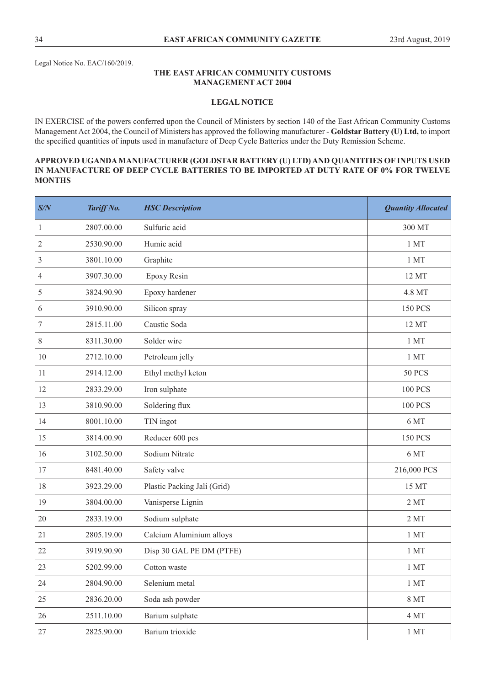Legal Notice No. EAC/160/2019.

#### **THE EAST AFRICAN COMMUNITY CUSTOMS MANAGEMENT ACT 2004**

#### **LEGAL NOTICE**

IN EXERCISE of the powers conferred upon the Council of Ministers by section 140 of the East African Community Customs Management Act 2004, the Council of Ministers has approved the following manufacturer - **Goldstar Battery (U) Ltd,** to import the specified quantities of inputs used in manufacture of Deep Cycle Batteries under the Duty Remission Scheme.

## **APPROVED UGANDA MANUFACTURER (GOLDSTAR BATTERY (U) LTD) AND QUANTITIES OF INPUTS USED IN MANUFACTURE OF DEEP CYCLE BATTERIES TO BE IMPORTED AT DUTY RATE OF 0% FOR TWELVE MONTHS**

| S/N              | Tariff No. | <b>HSC</b> Description      | <b>Quantity Allocated</b> |
|------------------|------------|-----------------------------|---------------------------|
| $\mathbf{1}$     | 2807.00.00 | Sulfuric acid               | 300 MT                    |
| $\boldsymbol{2}$ | 2530.90.00 | Humic acid                  | 1 MT                      |
| $\mathfrak{Z}$   | 3801.10.00 | Graphite                    | 1MT                       |
| 4                | 3907.30.00 | Epoxy Resin                 | 12 MT                     |
| 5                | 3824.90.90 | Epoxy hardener              | 4.8 MT                    |
| 6                | 3910.90.00 | Silicon spray               | <b>150 PCS</b>            |
| $\boldsymbol{7}$ | 2815.11.00 | Caustic Soda                | 12 MT                     |
| 8                | 8311.30.00 | Solder wire                 | 1 MT                      |
| 10               | 2712.10.00 | Petroleum jelly             | $1~\mathrm{MT}$           |
| 11               | 2914.12.00 | Ethyl methyl keton          | <b>50 PCS</b>             |
| 12               | 2833.29.00 | Iron sulphate               | <b>100 PCS</b>            |
| 13               | 3810.90.00 | Soldering flux              | <b>100 PCS</b>            |
| 14               | 8001.10.00 | TIN ingot                   | 6 MT                      |
| 15               | 3814.00.90 | Reducer 600 pcs             | <b>150 PCS</b>            |
| 16               | 3102.50.00 | Sodium Nitrate              | 6 MT                      |
| 17               | 8481.40.00 | Safety valve                | 216,000 PCS               |
| 18               | 3923.29.00 | Plastic Packing Jali (Grid) | 15 MT                     |
| 19               | 3804.00.00 | Vanisperse Lignin           | 2MT                       |
| 20               | 2833.19.00 | Sodium sulphate             | 2MT                       |
| 21               | 2805.19.00 | Calcium Aluminium alloys    | 1 MT                      |
| 22               | 3919.90.90 | Disp 30 GAL PE DM (PTFE)    | 1 MT                      |
| 23               | 5202.99.00 | Cotton waste                | 1 <sub>MT</sub>           |
| 24               | 2804.90.00 | Selenium metal              | 1 <sub>MT</sub>           |
| 25               | 2836.20.00 | Soda ash powder             | $8\ \mathrm{MT}$          |
| 26               | 2511.10.00 | Barium sulphate             | $4\,\mathrm{MT}$          |
| 27               | 2825.90.00 | Barium trioxide             | $1\ \mathrm{MT}$          |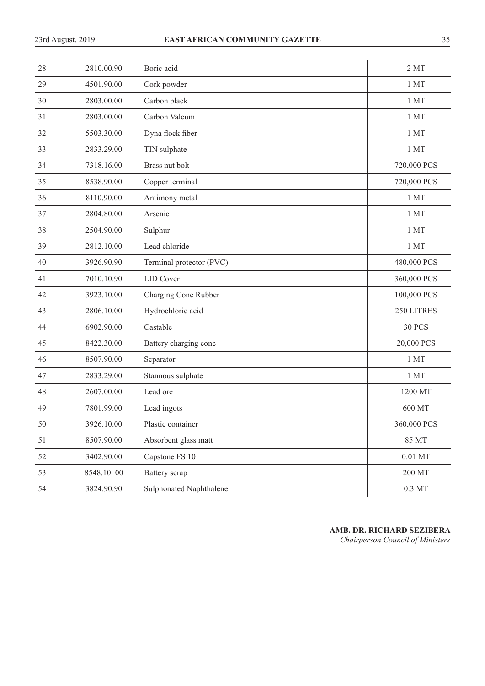| 28 | 2810.00.90 | Boric acid                     | 2MT                |
|----|------------|--------------------------------|--------------------|
| 29 | 4501.90.00 | Cork powder                    | 1MT                |
| 30 | 2803.00.00 | Carbon black                   | 1MT                |
| 31 | 2803.00.00 | Carbon Valcum                  | $1$ MT $\,$        |
| 32 | 5503.30.00 | Dyna flock fiber               | 1MT                |
| 33 | 2833.29.00 | TIN sulphate                   | 1MT                |
| 34 | 7318.16.00 | Brass nut bolt                 | 720,000 PCS        |
| 35 | 8538.90.00 | Copper terminal                | 720,000 PCS        |
| 36 | 8110.90.00 | Antimony metal                 | 1MT                |
| 37 | 2804.80.00 | Arsenic                        | 1 MT               |
| 38 | 2504.90.00 | Sulphur                        | 1MT                |
| 39 | 2812.10.00 | Lead chloride                  | 1MT                |
| 40 | 3926.90.90 | Terminal protector (PVC)       | 480,000 PCS        |
| 41 | 7010.10.90 | <b>LID</b> Cover               | 360,000 PCS        |
| 42 | 3923.10.00 | Charging Cone Rubber           | 100,000 PCS        |
| 43 | 2806.10.00 | Hydrochloric acid              | 250 LITRES         |
| 44 | 6902.90.00 | Castable                       | <b>30 PCS</b>      |
| 45 | 8422.30.00 | Battery charging cone          | 20,000 PCS         |
| 46 | 8507.90.00 | Separator                      | 1 MT               |
| 47 | 2833.29.00 | Stannous sulphate              | 1MT                |
| 48 | 2607.00.00 | Lead ore                       | 1200 MT            |
| 49 | 7801.99.00 | Lead ingots                    | 600 MT             |
| 50 | 3926.10.00 | Plastic container              | 360,000 PCS        |
| 51 | 8507.90.00 | Absorbent glass matt           | 85 MT              |
| 52 | 3402.90.00 | Capstone FS 10                 | $0.01$ MT          |
| 53 | 8548.10.00 | Battery scrap                  | 200 MT             |
| 54 | 3824.90.90 | <b>Sulphonated Naphthalene</b> | $0.3\ \mathrm{MT}$ |

**AMB. DR. RICHARD SEZIBERA**